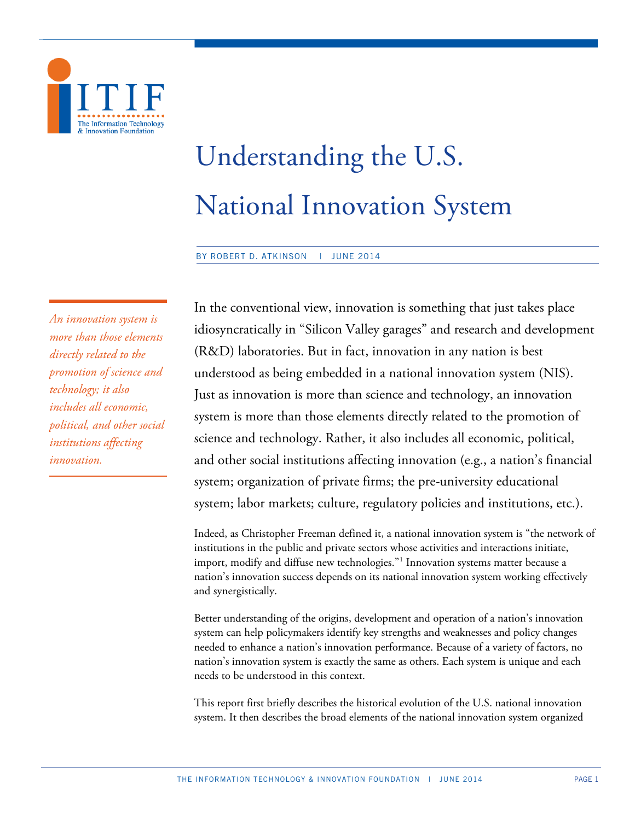

# Understanding the U.S. National Innovation System

BY ROBERT D. ATKINSON | JUNE 2014

*An innovation system is more than those elements directly related to the promotion of science and technology; it also includes all economic, political, and other social institutions affecting innovation.*

In the conventional view, innovation is something that just takes place idiosyncratically in "Silicon Valley garages" and research and development (R&D) laboratories. But in fact, innovation in any nation is best understood as being embedded in a national innovation system (NIS). Just as innovation is more than science and technology, an innovation system is more than those elements directly related to the promotion of science and technology. Rather, it also includes all economic, political, and other social institutions affecting innovation (e.g., a nation's financial system; organization of private firms; the pre-university educational system; labor markets; culture, regulatory policies and institutions, etc.).

Indeed, as Christopher Freeman defined it, a national innovation system is "the network of institutions in the public and private sectors whose activities and interactions initiate, import, modify and diffuse new technologies."<sup>[1](#page-23-0)</sup> Innovation systems matter because a nation's innovation success depends on its national innovation system working effectively and synergistically.

Better understanding of the origins, development and operation of a nation's innovation system can help policymakers identify key strengths and weaknesses and policy changes needed to enhance a nation's innovation performance. Because of a variety of factors, no nation's innovation system is exactly the same as others. Each system is unique and each needs to be understood in this context.

This report first briefly describes the historical evolution of the U.S. national innovation system. It then describes the broad elements of the national innovation system organized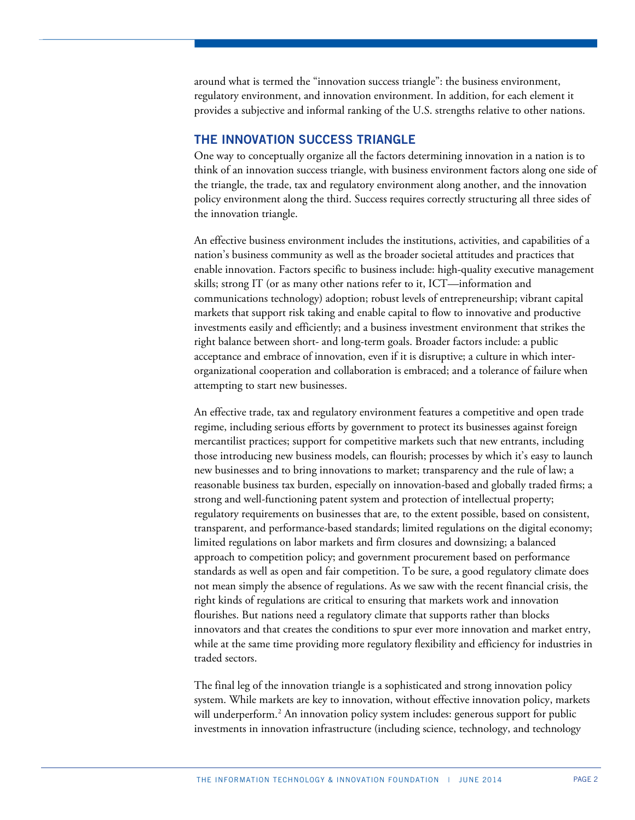around what is termed the "innovation success triangle": the business environment, regulatory environment, and innovation environment. In addition, for each element it provides a subjective and informal ranking of the U.S. strengths relative to other nations.

# **THE INNOVATION SUCCESS TRIANGLE**

One way to conceptually organize all the factors determining innovation in a nation is to think of an innovation success triangle, with business environment factors along one side of the triangle, the trade, tax and regulatory environment along another, and the innovation policy environment along the third. Success requires correctly structuring all three sides of the innovation triangle.

An effective business environment includes the institutions, activities, and capabilities of a nation's business community as well as the broader societal attitudes and practices that enable innovation. Factors specific to business include: high-quality executive management skills; strong IT (or as many other nations refer to it, ICT—information and communications technology) adoption; robust levels of entrepreneurship; vibrant capital markets that support risk taking and enable capital to flow to innovative and productive investments easily and efficiently; and a business investment environment that strikes the right balance between short- and long-term goals. Broader factors include: a public acceptance and embrace of innovation, even if it is disruptive; a culture in which interorganizational cooperation and collaboration is embraced; and a tolerance of failure when attempting to start new businesses.

An effective trade, tax and regulatory environment features a competitive and open trade regime, including serious efforts by government to protect its businesses against foreign mercantilist practices; support for competitive markets such that new entrants, including those introducing new business models, can flourish; processes by which it's easy to launch new businesses and to bring innovations to market; transparency and the rule of law; a reasonable business tax burden, especially on innovation-based and globally traded firms; a strong and well-functioning patent system and protection of intellectual property; regulatory requirements on businesses that are, to the extent possible, based on consistent, transparent, and performance-based standards; limited regulations on the digital economy; limited regulations on labor markets and firm closures and downsizing; a balanced approach to competition policy; and government procurement based on performance standards as well as open and fair competition. To be sure, a good regulatory climate does not mean simply the absence of regulations. As we saw with the recent financial crisis, the right kinds of regulations are critical to ensuring that markets work and innovation flourishes. But nations need a regulatory climate that supports rather than blocks innovators and that creates the conditions to spur ever more innovation and market entry, while at the same time providing more regulatory flexibility and efficiency for industries in traded sectors.

The final leg of the innovation triangle is a sophisticated and strong innovation policy system. While markets are key to innovation, without effective innovation policy, markets will underperform.<sup>[2](#page-23-1)</sup> An innovation policy system includes: generous support for public investments in innovation infrastructure (including science, technology, and technology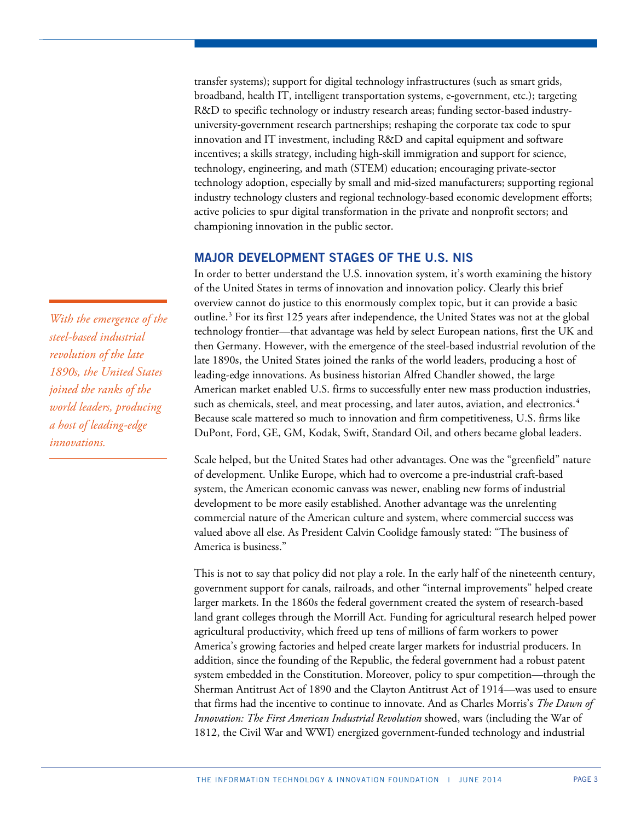transfer systems); support for digital technology infrastructures (such as smart grids, broadband, health IT, intelligent transportation systems, e-government, etc.); targeting R&D to specific technology or industry research areas; funding sector-based industryuniversity-government research partnerships; reshaping the corporate tax code to spur innovation and IT investment, including R&D and capital equipment and software incentives; a skills strategy, including high-skill immigration and support for science, technology, engineering, and math (STEM) education; encouraging private-sector technology adoption, especially by small and mid-sized manufacturers; supporting regional industry technology clusters and regional technology-based economic development efforts; active policies to spur digital transformation in the private and nonprofit sectors; and championing innovation in the public sector.

# **MAJOR DEVELOPMENT STAGES OF THE U.S. NIS**

In order to better understand the U.S. innovation system, it's worth examining the history of the United States in terms of innovation and innovation policy. Clearly this brief overview cannot do justice to this enormously complex topic, but it can provide a basic outline. $3$  For its first 125 years after independence, the United States was not at the global technology frontier—that advantage was held by select European nations, first the UK and then Germany. However, with the emergence of the steel-based industrial revolution of the late 1890s, the United States joined the ranks of the world leaders, producing a host of leading-edge innovations. As business historian Alfred Chandler showed, the large American market enabled U.S. firms to successfully enter new mass production industries, such as chemicals, steel, and meat processing, and later autos, aviation, and electronics.<sup>[4](#page-24-1)</sup> Because scale mattered so much to innovation and firm competitiveness, U.S. firms like DuPont, Ford, GE, GM, Kodak, Swift, Standard Oil, and others became global leaders.

Scale helped, but the United States had other advantages. One was the "greenfield" nature of development. Unlike Europe, which had to overcome a pre-industrial craft-based system, the American economic canvass was newer, enabling new forms of industrial development to be more easily established. Another advantage was the unrelenting commercial nature of the American culture and system, where commercial success was valued above all else. As President Calvin Coolidge famously stated: "The business of America is business."

This is not to say that policy did not play a role. In the early half of the nineteenth century, government support for canals, railroads, and other "internal improvements" helped create larger markets. In the 1860s the federal government created the system of research-based land grant colleges through the Morrill Act. Funding for agricultural research helped power agricultural productivity, which freed up tens of millions of farm workers to power America's growing factories and helped create larger markets for industrial producers. In addition, since the founding of the Republic, the federal government had a robust patent system embedded in the Constitution. Moreover, policy to spur competition—through the Sherman Antitrust Act of 1890 and the Clayton Antitrust Act of 1914—was used to ensure that firms had the incentive to continue to innovate. And as Charles Morris's *The Dawn of Innovation: The First American Industrial Revolution* showed, wars (including the War of 1812, the Civil War and WWI) energized government-funded technology and industrial

*With the emergence of the steel-based industrial revolution of the late 1890s, the United States joined the ranks of the world leaders, producing a host of leading-edge innovations.*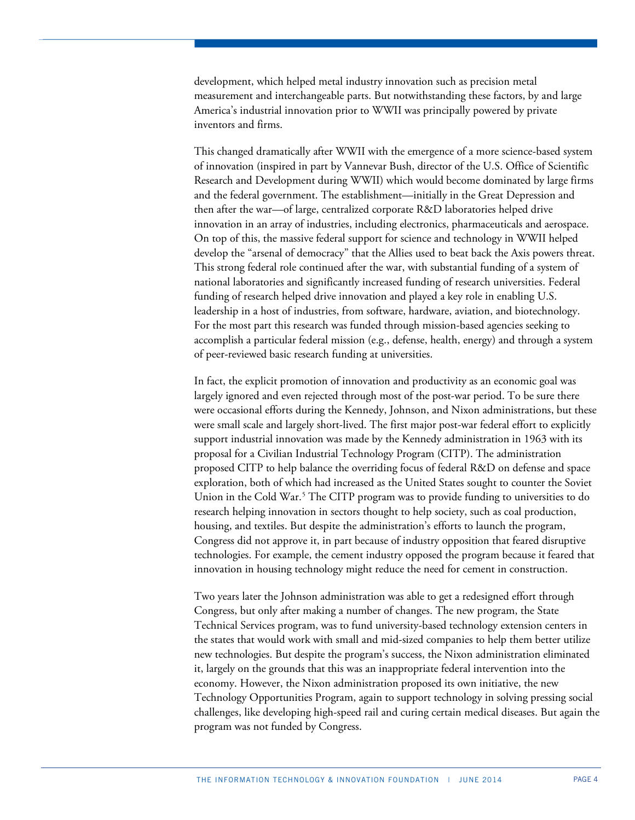development, which helped metal industry innovation such as precision metal measurement and interchangeable parts. But notwithstanding these factors, by and large America's industrial innovation prior to WWII was principally powered by private inventors and firms.

This changed dramatically after WWII with the emergence of a more science-based system of innovation (inspired in part by Vannevar Bush, director of the U.S. Office of Scientific Research and Development during WWII) which would become dominated by large firms and the federal government. The establishment—initially in the Great Depression and then after the war—of large, centralized corporate R&D laboratories helped drive innovation in an array of industries, including electronics, pharmaceuticals and aerospace. On top of this, the massive federal support for science and technology in WWII helped develop the "arsenal of democracy" that the Allies used to beat back the Axis powers threat. This strong federal role continued after the war, with substantial funding of a system of national laboratories and significantly increased funding of research universities. Federal funding of research helped drive innovation and played a key role in enabling U.S. leadership in a host of industries, from software, hardware, aviation, and biotechnology. For the most part this research was funded through mission-based agencies seeking to accomplish a particular federal mission (e.g., defense, health, energy) and through a system of peer-reviewed basic research funding at universities.

In fact, the explicit promotion of innovation and productivity as an economic goal was largely ignored and even rejected through most of the post-war period. To be sure there were occasional efforts during the Kennedy, Johnson, and Nixon administrations, but these were small scale and largely short-lived. The first major post-war federal effort to explicitly support industrial innovation was made by the Kennedy administration in 1963 with its proposal for a Civilian Industrial Technology Program (CITP). The administration proposed CITP to help balance the overriding focus of federal R&D on defense and space exploration, both of which had increased as the United States sought to counter the Soviet Union in the Cold War.<sup>[5](#page-24-2)</sup> The CITP program was to provide funding to universities to do research helping innovation in sectors thought to help society, such as coal production, housing, and textiles. But despite the administration's efforts to launch the program, Congress did not approve it, in part because of industry opposition that feared disruptive technologies. For example, the cement industry opposed the program because it feared that innovation in housing technology might reduce the need for cement in construction.

Two years later the Johnson administration was able to get a redesigned effort through Congress, but only after making a number of changes. The new program, the State Technical Services program, was to fund university-based technology extension centers in the states that would work with small and mid-sized companies to help them better utilize new technologies. But despite the program's success, the Nixon administration eliminated it, largely on the grounds that this was an inappropriate federal intervention into the economy. However, the Nixon administration proposed its own initiative, the new Technology Opportunities Program, again to support technology in solving pressing social challenges, like developing high-speed rail and curing certain medical diseases. But again the program was not funded by Congress.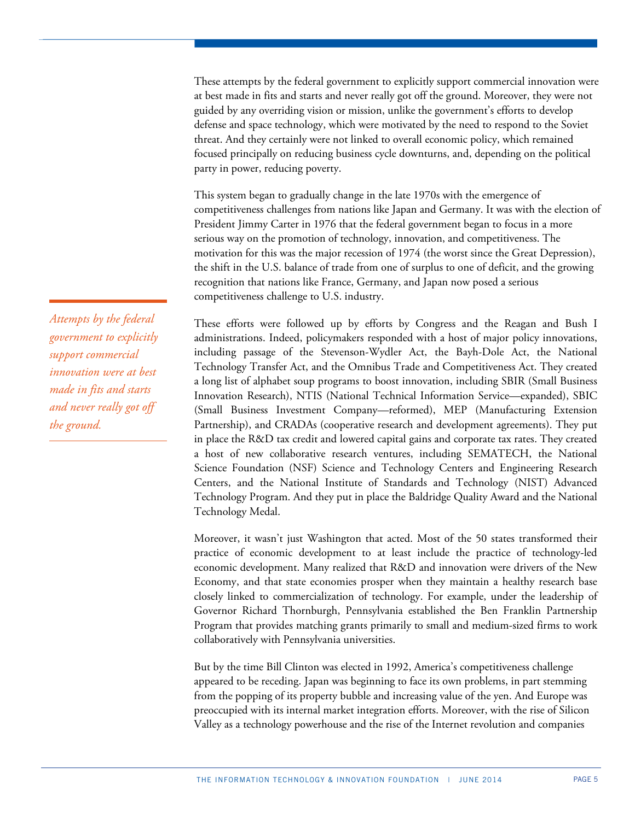These attempts by the federal government to explicitly support commercial innovation were at best made in fits and starts and never really got off the ground. Moreover, they were not guided by any overriding vision or mission, unlike the government's efforts to develop defense and space technology, which were motivated by the need to respond to the Soviet threat. And they certainly were not linked to overall economic policy, which remained focused principally on reducing business cycle downturns, and, depending on the political party in power, reducing poverty.

This system began to gradually change in the late 1970s with the emergence of competitiveness challenges from nations like Japan and Germany. It was with the election of President Jimmy Carter in 1976 that the federal government began to focus in a more serious way on the promotion of technology, innovation, and competitiveness. The motivation for this was the major recession of 1974 (the worst since the Great Depression), the shift in the U.S. balance of trade from one of surplus to one of deficit, and the growing recognition that nations like France, Germany, and Japan now posed a serious competitiveness challenge to U.S. industry.

These efforts were followed up by efforts by Congress and the Reagan and Bush I administrations. Indeed, policymakers responded with a host of major policy innovations, including passage of the Stevenson-Wydler Act, the Bayh-Dole Act, the National Technology Transfer Act, and the Omnibus Trade and Competitiveness Act. They created a long list of alphabet soup programs to boost innovation, including SBIR (Small Business Innovation Research), NTIS (National Technical Information Service—expanded), SBIC (Small Business Investment Company—reformed), MEP (Manufacturing Extension Partnership), and CRADAs (cooperative research and development agreements). They put in place the R&D tax credit and lowered capital gains and corporate tax rates. They created a host of new collaborative research ventures, including SEMATECH, the National Science Foundation (NSF) Science and Technology Centers and Engineering Research Centers, and the National Institute of Standards and Technology (NIST) Advanced Technology Program. And they put in place the Baldridge Quality Award and the National Technology Medal.

Moreover, it wasn't just Washington that acted. Most of the 50 states transformed their practice of economic development to at least include the practice of technology-led economic development. Many realized that R&D and innovation were drivers of the New Economy, and that state economies prosper when they maintain a healthy research base closely linked to commercialization of technology. For example, under the leadership of Governor Richard Thornburgh, Pennsylvania established the Ben Franklin Partnership Program that provides matching grants primarily to small and medium-sized firms to work collaboratively with Pennsylvania universities.

But by the time Bill Clinton was elected in 1992, America's competitiveness challenge appeared to be receding. Japan was beginning to face its own problems, in part stemming from the popping of its property bubble and increasing value of the yen. And Europe was preoccupied with its internal market integration efforts. Moreover, with the rise of Silicon Valley as a technology powerhouse and the rise of the Internet revolution and companies

*Attempts by the federal government to explicitly support commercial innovation were at best made in fits and starts and never really got off the ground.*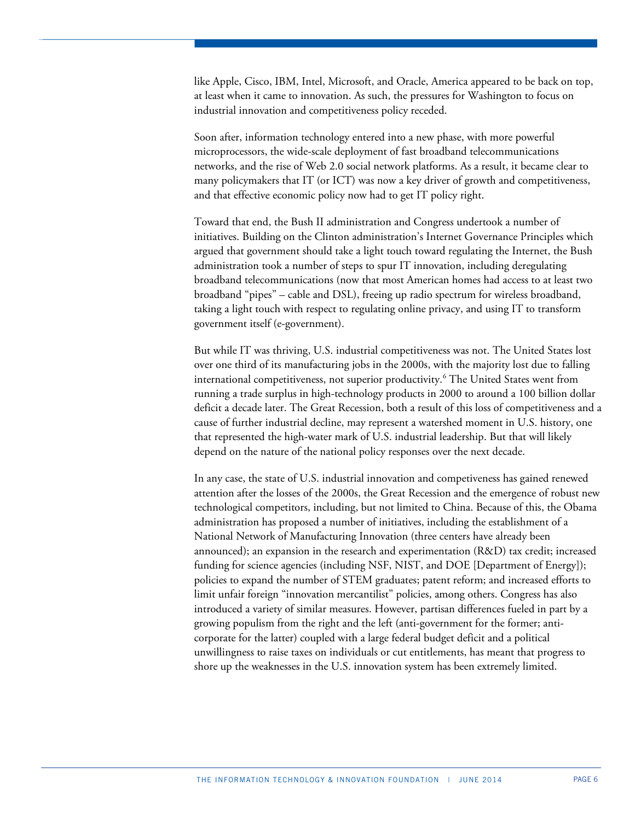like Apple, Cisco, IBM, Intel, Microsoft, and Oracle, America appeared to be back on top, at least when it came to innovation. As such, the pressures for Washington to focus on industrial innovation and competitiveness policy receded.

Soon after, information technology entered into a new phase, with more powerful microprocessors, the wide-scale deployment of fast broadband telecommunications networks, and the rise of Web 2.0 social network platforms. As a result, it became clear to many policymakers that IT (or ICT) was now a key driver of growth and competitiveness, and that effective economic policy now had to get IT policy right.

Toward that end, the Bush II administration and Congress undertook a number of initiatives. Building on the Clinton administration's Internet Governance Principles which argued that government should take a light touch toward regulating the Internet, the Bush administration took a number of steps to spur IT innovation, including deregulating broadband telecommunications (now that most American homes had access to at least two broadband "pipes" – cable and DSL), freeing up radio spectrum for wireless broadband, taking a light touch with respect to regulating online privacy, and using IT to transform government itself (e-government).

But while IT was thriving, U.S. industrial competitiveness was not. The United States lost over one third of its manufacturing jobs in the 2000s, with the majority lost due to falling international competitiveness, not superior productivity.<sup>[6](#page-25-0)</sup> The United States went from running a trade surplus in high-technology products in 2000 to around a 100 billion dollar deficit a decade later. The Great Recession, both a result of this loss of competitiveness and a cause of further industrial decline, may represent a watershed moment in U.S. history, one that represented the high-water mark of U.S. industrial leadership. But that will likely depend on the nature of the national policy responses over the next decade.

In any case, the state of U.S. industrial innovation and competiveness has gained renewed attention after the losses of the 2000s, the Great Recession and the emergence of robust new technological competitors, including, but not limited to China. Because of this, the Obama administration has proposed a number of initiatives, including the establishment of a National Network of Manufacturing Innovation (three centers have already been announced); an expansion in the research and experimentation (R&D) tax credit; increased funding for science agencies (including NSF, NIST, and DOE [Department of Energy]); policies to expand the number of STEM graduates; patent reform; and increased efforts to limit unfair foreign "innovation mercantilist" policies, among others. Congress has also introduced a variety of similar measures. However, partisan differences fueled in part by a growing populism from the right and the left (anti-government for the former; anticorporate for the latter) coupled with a large federal budget deficit and a political unwillingness to raise taxes on individuals or cut entitlements, has meant that progress to shore up the weaknesses in the U.S. innovation system has been extremely limited.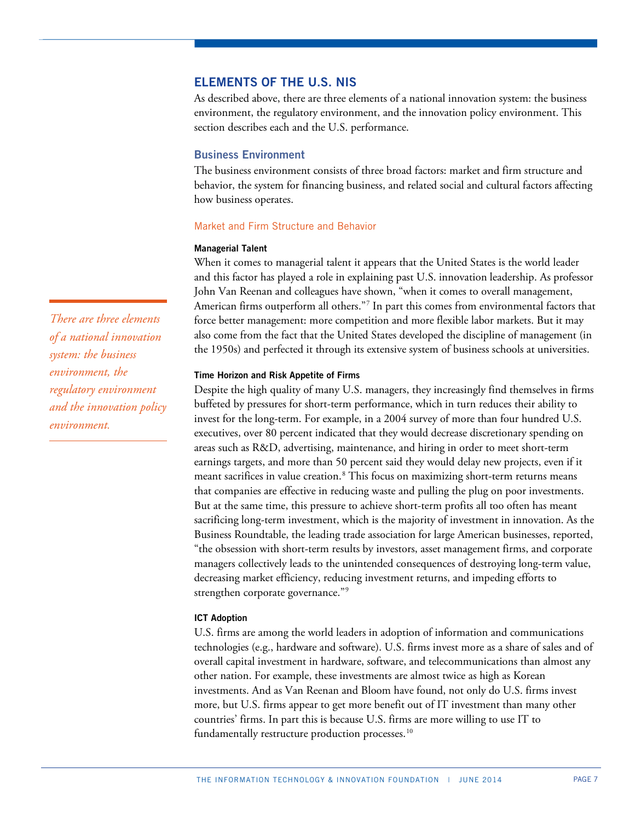# **ELEMENTS OF THE U.S. NIS**

As described above, there are three elements of a national innovation system: the business environment, the regulatory environment, and the innovation policy environment. This section describes each and the U.S. performance.

## **Business Environment**

The business environment consists of three broad factors: market and firm structure and behavior, the system for financing business, and related social and cultural factors affecting how business operates.

#### Market and Firm Structure and Behavior

#### **Managerial Talent**

When it comes to managerial talent it appears that the United States is the world leader and this factor has played a role in explaining past U.S. innovation leadership. As professor John Van Reenan and colleagues have shown, "when it comes to overall management, American firms outperform all others."[7](#page-26-0) In part this comes from environmental factors that force better management: more competition and more flexible labor markets. But it may also come from the fact that the United States developed the discipline of management (in the 1950s) and perfected it through its extensive system of business schools at universities.

# **Time Horizon and Risk Appetite of Firms**

Despite the high quality of many U.S. managers, they increasingly find themselves in firms buffeted by pressures for short-term performance, which in turn reduces their ability to invest for the long-term. For example, in a 2004 survey of more than four hundred U.S. executives, over 80 percent indicated that they would decrease discretionary spending on areas such as R&D, advertising, maintenance, and hiring in order to meet short-term earnings targets, and more than 50 percent said they would delay new projects, even if it meant sacrifices in value creation.<sup>[8](#page-26-1)</sup> This focus on maximizing short-term returns means that companies are effective in reducing waste and pulling the plug on poor investments. But at the same time, this pressure to achieve short-term profits all too often has meant sacrificing long-term investment, which is the majority of investment in innovation. As the Business Roundtable, the leading trade association for large American businesses, reported, "the obsession with short-term results by investors, asset management firms, and corporate managers collectively leads to the unintended consequences of destroying long-term value, decreasing market efficiency, reducing investment returns, and impeding efforts to strengthen corporate governance."<sup>[9](#page-26-2)</sup>

#### **ICT Adoption**

U.S. firms are among the world leaders in adoption of information and communications technologies (e.g., hardware and software). U.S. firms invest more as a share of sales and of overall capital investment in hardware, software, and telecommunications than almost any other nation. For example, these investments are almost twice as high as Korean investments. And as Van Reenan and Bloom have found, not only do U.S. firms invest more, but U.S. firms appear to get more benefit out of IT investment than many other countries' firms. In part this is because U.S. firms are more willing to use IT to fundamentally restructure production processes.<sup>[10](#page-26-3)</sup>

*There are three elements of a national innovation system: the business environment, the regulatory environment and the innovation policy environment.*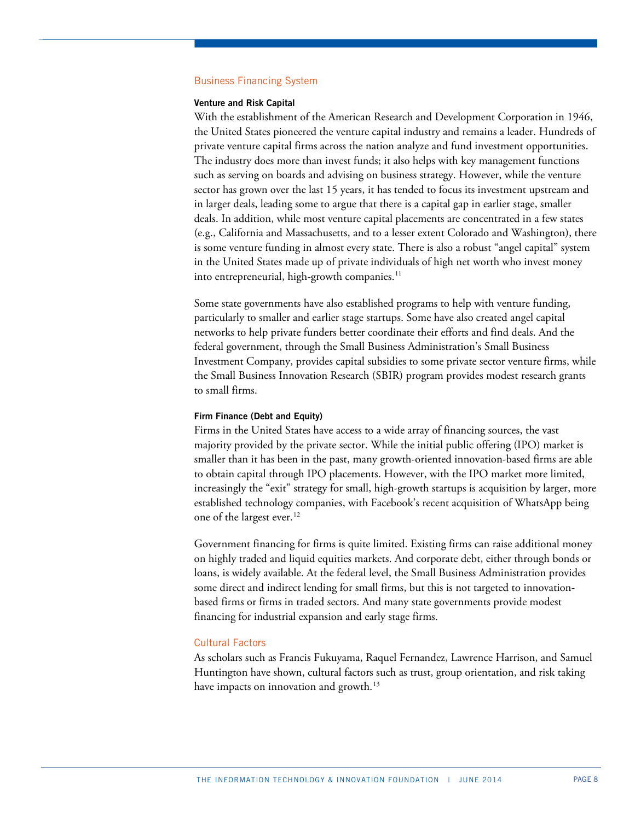#### Business Financing System

#### **Venture and Risk Capital**

With the establishment of the American Research and Development Corporation in 1946, the United States pioneered the venture capital industry and remains a leader. Hundreds of private venture capital firms across the nation analyze and fund investment opportunities. The industry does more than invest funds; it also helps with key management functions such as serving on boards and advising on business strategy. However, while the venture sector has grown over the last 15 years, it has tended to focus its investment upstream and in larger deals, leading some to argue that there is a capital gap in earlier stage, smaller deals. In addition, while most venture capital placements are concentrated in a few states (e.g., California and Massachusetts, and to a lesser extent Colorado and Washington), there is some venture funding in almost every state. There is also a robust "angel capital" system in the United States made up of private individuals of high net worth who invest money into entrepreneurial, high-growth companies. [11](#page-26-4)

Some state governments have also established programs to help with venture funding, particularly to smaller and earlier stage startups. Some have also created angel capital networks to help private funders better coordinate their efforts and find deals. And the federal government, through the Small Business Administration's Small Business Investment Company, provides capital subsidies to some private sector venture firms, while the Small Business Innovation Research (SBIR) program provides modest research grants to small firms.

# **Firm Finance (Debt and Equity)**

Firms in the United States have access to a wide array of financing sources, the vast majority provided by the private sector. While the initial public offering (IPO) market is smaller than it has been in the past, many growth-oriented innovation-based firms are able to obtain capital through IPO placements. However, with the IPO market more limited, increasingly the "exit" strategy for small, high-growth startups is acquisition by larger, more established technology companies, with Facebook's recent acquisition of WhatsApp being one of the largest ever.<sup>[12](#page-26-5)</sup>

Government financing for firms is quite limited. Existing firms can raise additional money on highly traded and liquid equities markets. And corporate debt, either through bonds or loans, is widely available. At the federal level, the Small Business Administration provides some direct and indirect lending for small firms, but this is not targeted to innovationbased firms or firms in traded sectors. And many state governments provide modest financing for industrial expansion and early stage firms.

## Cultural Factors

As scholars such as Francis Fukuyama, Raquel Fernandez, Lawrence Harrison, and Samuel Huntington have shown, cultural factors such as trust, group orientation, and risk taking have impacts on innovation and growth. $^{13}$  $^{13}$  $^{13}$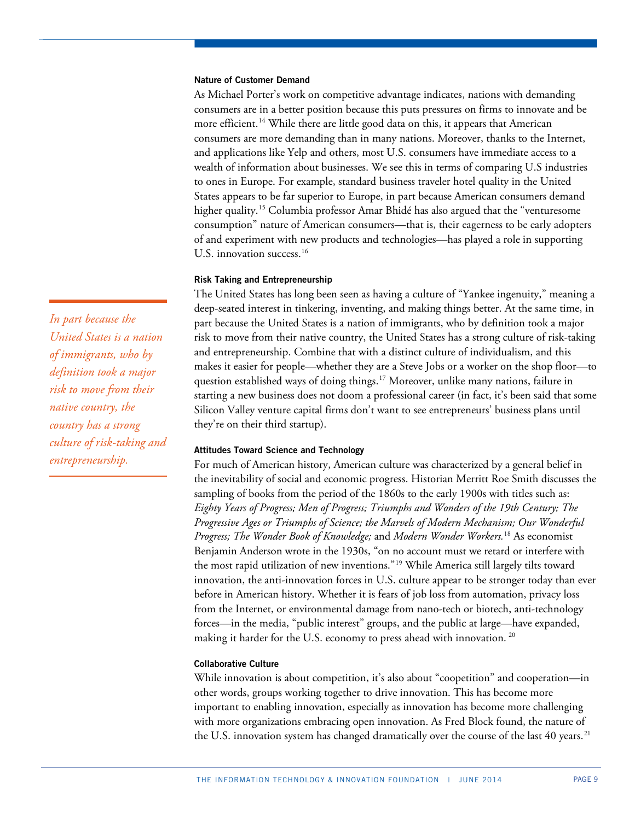## **Nature of Customer Demand**

As Michael Porter's work on competitive advantage indicates, nations with demanding consumers are in a better position because this puts pressures on firms to innovate and be more efficient.<sup>14</sup> While there are little good data on this, it appears that American consumers are more demanding than in many nations. Moreover, thanks to the Internet, and applications like Yelp and others, most U.S. consumers have immediate access to a wealth of information about businesses. We see this in terms of comparing U.S industries to ones in Europe. For example, standard business traveler hotel quality in the United States appears to be far superior to Europe, in part because American consumers demand higher quality.<sup>[15](#page-26-8)</sup> Columbia professor Amar Bhidé has also argued that the "venturesome consumption" nature of American consumers—that is, their eagerness to be early adopters of and experiment with new products and technologies—has played a role in supporting U.S. innovation success.<sup>[16](#page-26-9)</sup>

## **Risk Taking and Entrepreneurship**

The United States has long been seen as having a culture of "Yankee ingenuity," meaning a deep-seated interest in tinkering, inventing, and making things better. At the same time, in part because the United States is a nation of immigrants, who by definition took a major risk to move from their native country, the United States has a strong culture of risk-taking and entrepreneurship. Combine that with a distinct culture of individualism, and this makes it easier for people—whether they are a Steve Jobs or a worker on the shop floor—to question established ways of doing things.<sup>[17](#page-26-10)</sup> Moreover, unlike many nations, failure in starting a new business does not doom a professional career (in fact, it's been said that some Silicon Valley venture capital firms don't want to see entrepreneurs' business plans until they're on their third startup).

#### **Attitudes Toward Science and Technology**

For much of American history, American culture was characterized by a general belief in the inevitability of social and economic progress. Historian Merritt Roe Smith discusses the sampling of books from the period of the 1860s to the early 1900s with titles such as: *Eighty Years of Progress; Men of Progress; Triumphs and Wonders of the 19th Century; The Progressive Ages or Triumphs of Science; the Marvels of Modern Mechanism; Our Wonderful Progress; The Wonder Book of Knowledge;* and *Modern Wonder Workers.* [18](#page-26-11) As economist Benjamin Anderson wrote in the 1930s, "on no account must we retard or interfere with the most rapid utilization of new inventions."[19](#page-26-12) While America still largely tilts toward innovation, the anti-innovation forces in U.S. culture appear to be stronger today than ever before in American history. Whether it is fears of job loss from automation, privacy loss from the Internet, or environmental damage from nano-tech or biotech, anti-technology forces—in the media, "public interest" groups, and the public at large—have expanded, making it harder for the U.S. economy to press ahead with innovation.<sup>[20](#page-26-13)</sup>

#### **Collaborative Culture**

While innovation is about competition, it's also about "coopetition" and cooperation—in other words, groups working together to drive innovation. This has become more important to enabling innovation, especially as innovation has become more challenging with more organizations embracing open innovation. As Fred Block found, the nature of the U.S. innovation system has changed dramatically over the course of the last  $40$  years.<sup>[21](#page-26-14)</sup>

*In part because the United States is a nation of immigrants, who by definition took a major risk to move from their native country, the country has a strong culture of risk-taking and entrepreneurship.*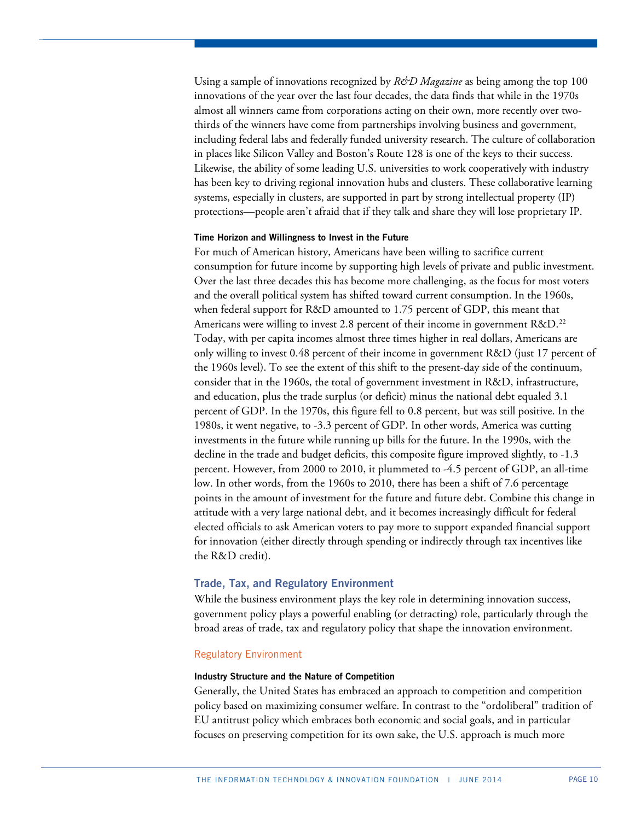Using a sample of innovations recognized by *R&D Magazine* as being among the top 100 innovations of the year over the last four decades, the data finds that while in the 1970s almost all winners came from corporations acting on their own, more recently over twothirds of the winners have come from partnerships involving business and government, including federal labs and federally funded university research. The culture of collaboration in places like Silicon Valley and Boston's Route 128 is one of the keys to their success. Likewise, the ability of some leading U.S. universities to work cooperatively with industry has been key to driving regional innovation hubs and clusters. These collaborative learning systems, especially in clusters, are supported in part by strong intellectual property (IP) protections—people aren't afraid that if they talk and share they will lose proprietary IP.

#### **Time Horizon and Willingness to Invest in the Future**

For much of American history, Americans have been willing to sacrifice current consumption for future income by supporting high levels of private and public investment. Over the last three decades this has become more challenging, as the focus for most voters and the overall political system has shifted toward current consumption. In the 1960s, when federal support for R&D amounted to 1.75 percent of GDP, this meant that Americans were willing to invest 2.8 percent of their income in government R&D.<sup>[22](#page-26-15)</sup> Today, with per capita incomes almost three times higher in real dollars, Americans are only willing to invest 0.48 percent of their income in government R&D (just 17 percent of the 1960s level). To see the extent of this shift to the present-day side of the continuum, consider that in the 1960s, the total of government investment in R&D, infrastructure, and education, plus the trade surplus (or deficit) minus the national debt equaled 3.1 percent of GDP. In the 1970s, this figure fell to 0.8 percent, but was still positive. In the 1980s, it went negative, to -3.3 percent of GDP. In other words, America was cutting investments in the future while running up bills for the future. In the 1990s, with the decline in the trade and budget deficits, this composite figure improved slightly, to -1.3 percent. However, from 2000 to 2010, it plummeted to -4.5 percent of GDP, an all-time low. In other words, from the 1960s to 2010, there has been a shift of 7.6 percentage points in the amount of investment for the future and future debt. Combine this change in attitude with a very large national debt, and it becomes increasingly difficult for federal elected officials to ask American voters to pay more to support expanded financial support for innovation (either directly through spending or indirectly through tax incentives like the R&D credit).

# **Trade, Tax, and Regulatory Environment**

While the business environment plays the key role in determining innovation success, government policy plays a powerful enabling (or detracting) role, particularly through the broad areas of trade, tax and regulatory policy that shape the innovation environment.

# Regulatory Environment

#### **Industry Structure and the Nature of Competition**

Generally, the United States has embraced an approach to competition and competition policy based on maximizing consumer welfare. In contrast to the "ordoliberal" tradition of EU antitrust policy which embraces both economic and social goals, and in particular focuses on preserving competition for its own sake, the U.S. approach is much more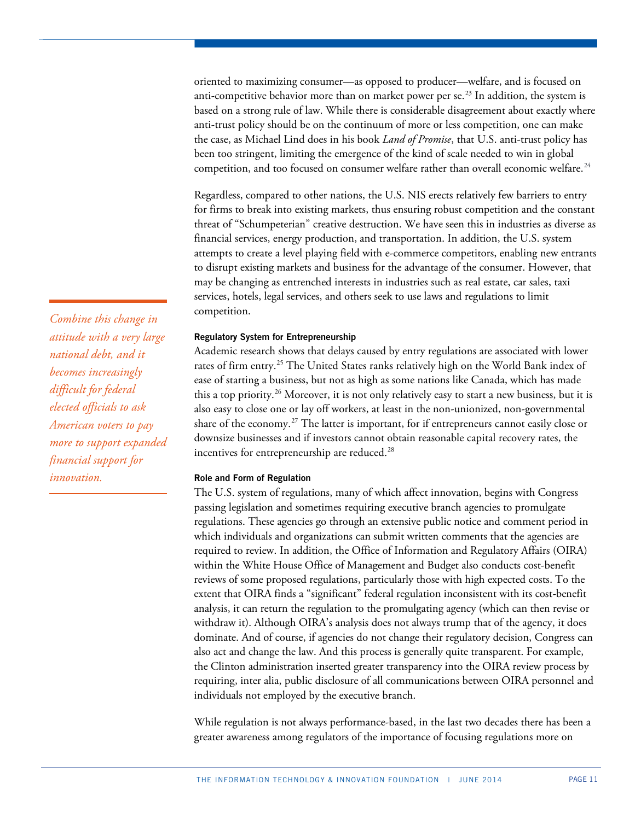oriented to maximizing consumer—as opposed to producer—welfare, and is focused on anti-competitive behavior more than on market power per  $\text{se.}^{23}$  $\text{se.}^{23}$  $\text{se.}^{23}$  In addition, the system is based on a strong rule of law. While there is considerable disagreement about exactly where anti-trust policy should be on the continuum of more or less competition, one can make the case, as Michael Lind does in his book *Land of Promise*, that U.S. anti-trust policy has been too stringent, limiting the emergence of the kind of scale needed to win in global competition, and too focused on consumer welfare rather than overall economic welfare. $^{24}$  $^{24}$  $^{24}$ 

Regardless, compared to other nations, the U.S. NIS erects relatively few barriers to entry for firms to break into existing markets, thus ensuring robust competition and the constant threat of "Schumpeterian" creative destruction. We have seen this in industries as diverse as financial services, energy production, and transportation. In addition, the U.S. system attempts to create a level playing field with e-commerce competitors, enabling new entrants to disrupt existing markets and business for the advantage of the consumer. However, that may be changing as entrenched interests in industries such as real estate, car sales, taxi services, hotels, legal services, and others seek to use laws and regulations to limit competition.

#### **Regulatory System for Entrepreneurship**

Academic research shows that delays caused by entry regulations are associated with lower rates of firm entry.<sup>[25](#page-26-18)</sup> The United States ranks relatively high on the World Bank index of ease of starting a business, but not as high as some nations like Canada, which has made this a top priority.[26](#page-26-19) Moreover, it is not only relatively easy to start a new business, but it is also easy to close one or lay off workers, at least in the non-unionized, non-governmental share of the economy.<sup>[27](#page-26-20)</sup> The latter is important, for if entrepreneurs cannot easily close or downsize businesses and if investors cannot obtain reasonable capital recovery rates, the incentives for entrepreneurship are reduced.<sup>[28](#page-26-21)</sup>

#### **Role and Form of Regulation**

The U.S. system of regulations, many of which affect innovation, begins with Congress passing legislation and sometimes requiring executive branch agencies to promulgate regulations. These agencies go through an extensive public notice and comment period in which individuals and organizations can submit written comments that the agencies are required to review. In addition, the Office of Information and Regulatory Affairs (OIRA) within the White House Office of Management and Budget also conducts cost-benefit reviews of some proposed regulations, particularly those with high expected costs. To the extent that OIRA finds a "significant" federal regulation inconsistent with its cost-benefit analysis, it can return the regulation to the promulgating agency (which can then revise or withdraw it). Although OIRA's analysis does not always trump that of the agency, it does dominate. And of course, if agencies do not change their regulatory decision, Congress can also act and change the law. And this process is generally quite transparent. For example, the Clinton administration inserted greater transparency into the OIRA review process by requiring, inter alia, public disclosure of all communications between OIRA personnel and individuals not employed by the executive branch.

While regulation is not always performance-based, in the last two decades there has been a greater awareness among regulators of the importance of focusing regulations more on

*Combine this change in attitude with a very large national debt, and it becomes increasingly difficult for federal elected officials to ask American voters to pay more to support expanded financial support for innovation.*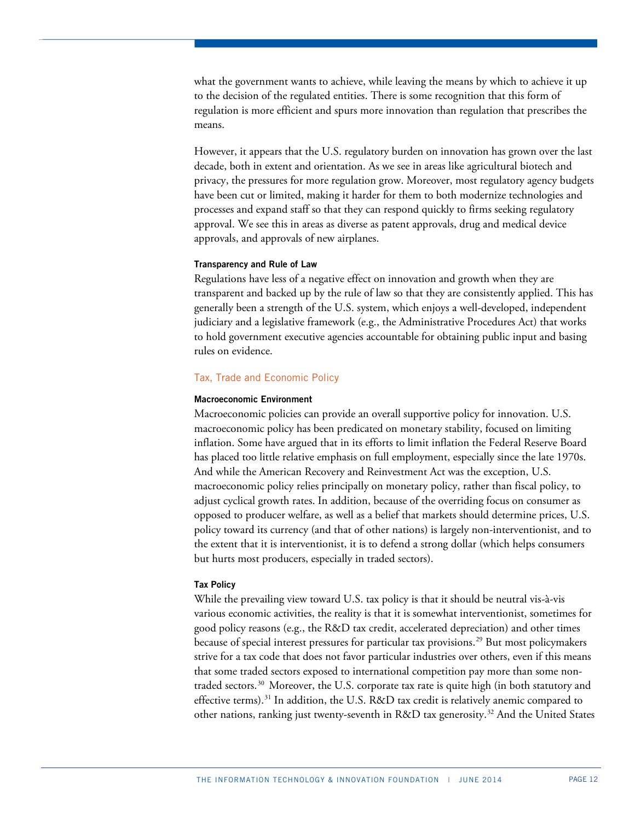what the government wants to achieve, while leaving the means by which to achieve it up to the decision of the regulated entities. There is some recognition that this form of regulation is more efficient and spurs more innovation than regulation that prescribes the means.

However, it appears that the U.S. regulatory burden on innovation has grown over the last decade, both in extent and orientation. As we see in areas like agricultural biotech and privacy, the pressures for more regulation grow. Moreover, most regulatory agency budgets have been cut or limited, making it harder for them to both modernize technologies and processes and expand staff so that they can respond quickly to firms seeking regulatory approval. We see this in areas as diverse as patent approvals, drug and medical device approvals, and approvals of new airplanes.

#### **Transparency and Rule of Law**

Regulations have less of a negative effect on innovation and growth when they are transparent and backed up by the rule of law so that they are consistently applied. This has generally been a strength of the U.S. system, which enjoys a well-developed, independent judiciary and a legislative framework (e.g., the Administrative Procedures Act) that works to hold government executive agencies accountable for obtaining public input and basing rules on evidence.

#### Tax, Trade and Economic Policy

#### **Macroeconomic Environment**

Macroeconomic policies can provide an overall supportive policy for innovation. U.S. macroeconomic policy has been predicated on monetary stability, focused on limiting inflation. Some have argued that in its efforts to limit inflation the Federal Reserve Board has placed too little relative emphasis on full employment, especially since the late 1970s. And while the American Recovery and Reinvestment Act was the exception, U.S. macroeconomic policy relies principally on monetary policy, rather than fiscal policy, to adjust cyclical growth rates. In addition, because of the overriding focus on consumer as opposed to producer welfare, as well as a belief that markets should determine prices, U.S. policy toward its currency (and that of other nations) is largely non-interventionist, and to the extent that it is interventionist, it is to defend a strong dollar (which helps consumers but hurts most producers, especially in traded sectors).

#### **Tax Policy**

While the prevailing view toward U.S. tax policy is that it should be neutral vis-à-vis various economic activities, the reality is that it is somewhat interventionist, sometimes for good policy reasons (e.g., the R&D tax credit, accelerated depreciation) and other times because of special interest pressures for particular tax provisions.[29](#page-26-22) But most policymakers strive for a tax code that does not favor particular industries over others, even if this means that some traded sectors exposed to international competition pay more than some non-traded sectors.<sup>[30](#page-26-23)</sup> Moreover, the U.S. corporate tax rate is quite high (in both statutory and effective terms).<sup>[31](#page-26-24)</sup> In addition, the U.S. R&D tax credit is relatively anemic compared to other nations, ranking just twenty-seventh in R&D tax generosity.<sup>[32](#page-26-25)</sup> And the United States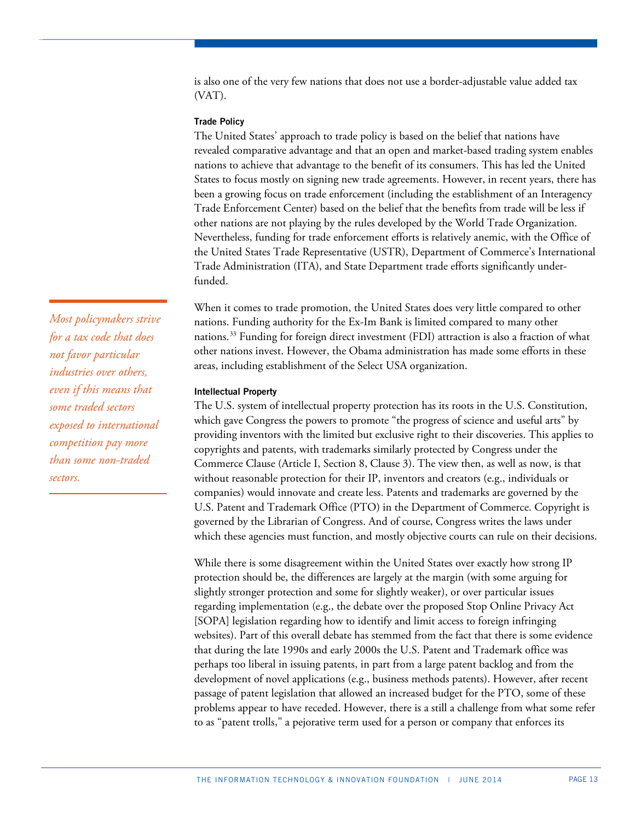is also one of the very few nations that does not use a border-adjustable value added tax (VAT).

### **Trade Policy**

The United States' approach to trade policy is based on the belief that nations have revealed comparative advantage and that an open and market-based trading system enables nations to achieve that advantage to the benefit of its consumers. This has led the United States to focus mostly on signing new trade agreements. However, in recent years, there has been a growing focus on trade enforcement (including the establishment of an Interagency Trade Enforcement Center) based on the belief that the benefits from trade will be less if other nations are not playing by the rules developed by the World Trade Organization. Nevertheless, funding for trade enforcement efforts is relatively anemic, with the Office of the United States Trade Representative (USTR), Department of Commerce's International Trade Administration (ITA), and State Department trade efforts significantly underfunded.

When it comes to trade promotion, the United States does very little compared to other nations. Funding authority for the Ex-Im Bank is limited compared to many other nations. [33](#page-26-26) Funding for foreign direct investment (FDI) attraction is also a fraction of what other nations invest. However, the Obama administration has made some efforts in these areas, including establishment of the Select USA organization.

#### **Intellectual Property**

The U.S. system of intellectual property protection has its roots in the U.S. Constitution, which gave Congress the powers to promote "the progress of science and useful arts" by providing inventors with the limited but exclusive right to their discoveries. This applies to copyrights and patents, with trademarks similarly protected by Congress under the Commerce Clause (Article I, Section 8, Clause 3). The view then, as well as now, is that without reasonable protection for their IP, inventors and creators (e.g., individuals or companies) would innovate and create less. Patents and trademarks are governed by the U.S. Patent and Trademark Office (PTO) in the Department of Commerce. Copyright is governed by the Librarian of Congress. And of course, Congress writes the laws under which these agencies must function, and mostly objective courts can rule on their decisions.

While there is some disagreement within the United States over exactly how strong IP protection should be, the differences are largely at the margin (with some arguing for slightly stronger protection and some for slightly weaker), or over particular issues regarding implementation (e.g., the debate over the proposed Stop Online Privacy Act [SOPA] legislation regarding how to identify and limit access to foreign infringing websites). Part of this overall debate has stemmed from the fact that there is some evidence that during the late 1990s and early 2000s the U.S. Patent and Trademark office was perhaps too liberal in issuing patents, in part from a large patent backlog and from the development of novel applications (e.g., business methods patents). However, after recent passage of patent legislation that allowed an increased budget for the PTO, some of these problems appear to have receded. However, there is a still a challenge from what some refer to as "patent trolls," a pejorative term used for a person or company that enforces its

*Most policymakers strive for a tax code that does not favor particular industries over others, even if this means that some traded sectors exposed to international competition pay more than some non-traded sectors.*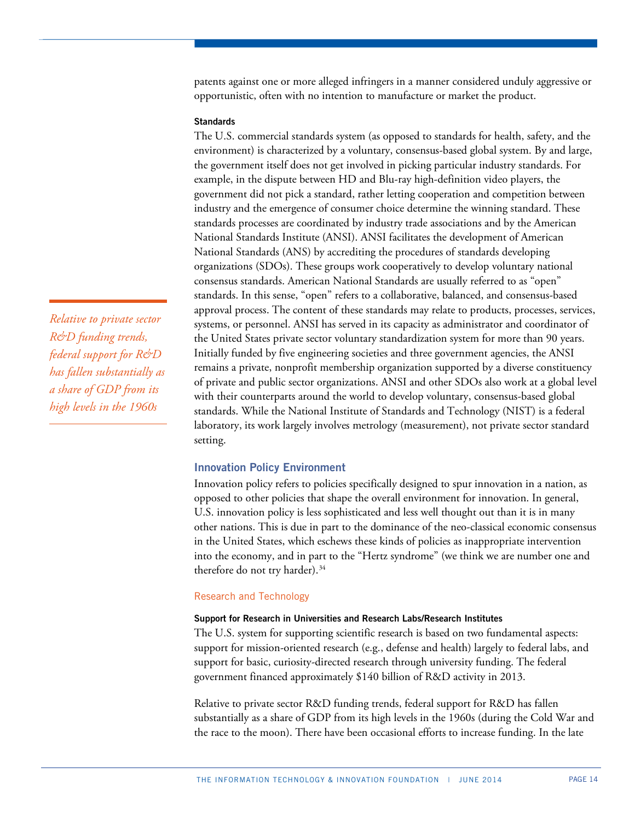patents against one or more alleged infringers in a manner considered unduly aggressive or opportunistic, often with no intention to manufacture or market the product.

## **Standards**

The U.S. commercial standards system (as opposed to standards for health, safety, and the environment) is characterized by a voluntary, consensus-based global system. By and large, the government itself does not get involved in picking particular industry standards. For example, in the dispute between HD and Blu-ray high-definition video players, the government did not pick a standard, rather letting cooperation and competition between industry and the emergence of consumer choice determine the winning standard. These standards processes are coordinated by industry trade associations and by the American National Standards Institute (ANSI). ANSI facilitates the development of American National Standards (ANS) by accrediting the procedures of standards developing organizations (SDOs). These groups work cooperatively to develop voluntary national consensus standards. American National Standards are usually referred to as "open" standards. In this sense, "open" refers to a collaborative, balanced, and consensus-based approval process. The content of these standards may relate to products, processes, services, systems, or personnel. ANSI has served in its capacity as administrator and coordinator of the United States private sector voluntary standardization system for more than 90 years. Initially funded by five engineering societies and three government agencies, the ANSI remains a private, nonprofit membership organization supported by a diverse constituency of private and public sector organizations. ANSI and other SDOs also work at a global level with their counterparts around the world to develop voluntary, consensus-based global standards. While the National Institute of Standards and Technology (NIST) is a federal laboratory, its work largely involves metrology (measurement), not private sector standard setting.

#### **Innovation Policy Environment**

Innovation policy refers to policies specifically designed to spur innovation in a nation, as opposed to other policies that shape the overall environment for innovation. In general, U.S. innovation policy is less sophisticated and less well thought out than it is in many other nations. This is due in part to the dominance of the neo-classical economic consensus in the United States, which eschews these kinds of policies as inappropriate intervention into the economy, and in part to the "Hertz syndrome" (we think we are number one and therefore do not try harder). [34](#page-26-27)

## Research and Technology

#### **Support for Research in Universities and Research Labs/Research Institutes**

The U.S. system for supporting scientific research is based on two fundamental aspects: support for mission-oriented research (e.g., defense and health) largely to federal labs, and support for basic, curiosity-directed research through university funding. The federal government financed approximately \$140 billion of R&D activity in 2013.

Relative to private sector R&D funding trends, federal support for R&D has fallen substantially as a share of GDP from its high levels in the 1960s (during the Cold War and the race to the moon). There have been occasional efforts to increase funding. In the late

*Relative to private sector R&D funding trends, federal support for R&D has fallen substantially as a share of GDP from its high levels in the 1960s*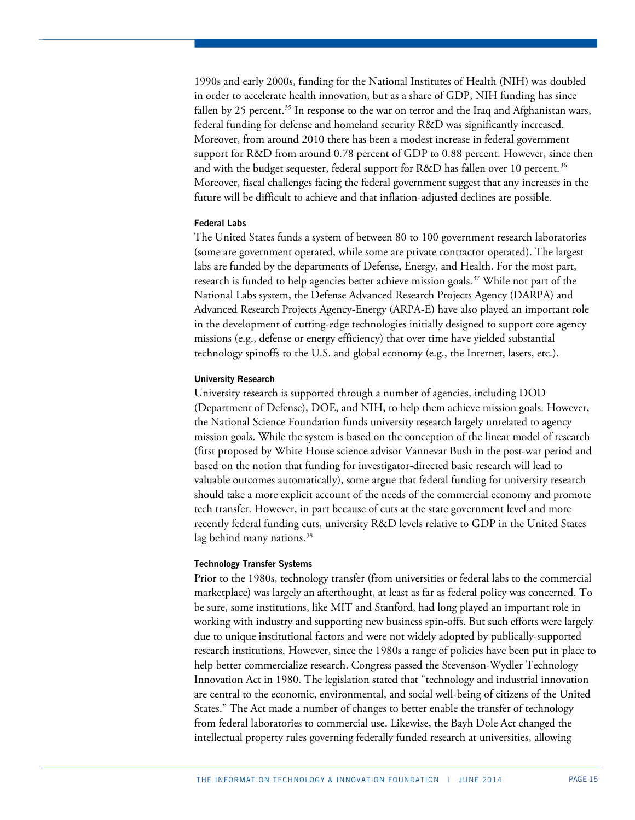1990s and early 2000s, funding for the National Institutes of Health (NIH) was doubled in order to accelerate health innovation, but as a share of GDP, NIH funding has since fallen by 25 percent.<sup>[35](#page-26-28)</sup> In response to the war on terror and the Iraq and Afghanistan wars, federal funding for defense and homeland security R&D was significantly increased. Moreover, from around 2010 there has been a modest increase in federal government support for R&D from around 0.78 percent of GDP to 0.88 percent. However, since then and with the budget sequester, federal support for R&D has fallen over 10 percent.<sup>[36](#page-26-29)</sup> Moreover, fiscal challenges facing the federal government suggest that any increases in the future will be difficult to achieve and that inflation-adjusted declines are possible.

#### **Federal Labs**

The United States funds a system of between 80 to 100 government research laboratories (some are government operated, while some are private contractor operated). The largest labs are funded by the departments of Defense, Energy, and Health. For the most part, research is funded to help agencies better achieve mission goals.<sup>[37](#page-26-30)</sup> While not part of the National Labs system, the Defense Advanced Research Projects Agency (DARPA) and Advanced Research Projects Agency-Energy (ARPA-E) have also played an important role in the development of cutting-edge technologies initially designed to support core agency missions (e.g., defense or energy efficiency) that over time have yielded substantial technology spinoffs to the U.S. and global economy (e.g., the Internet, lasers, etc.).

#### **University Research**

University research is supported through a number of agencies, including DOD (Department of Defense), DOE, and NIH, to help them achieve mission goals. However, the National Science Foundation funds university research largely unrelated to agency mission goals. While the system is based on the conception of the linear model of research (first proposed by White House science advisor Vannevar Bush in the post-war period and based on the notion that funding for investigator-directed basic research will lead to valuable outcomes automatically), some argue that federal funding for university research should take a more explicit account of the needs of the commercial economy and promote tech transfer. However, in part because of cuts at the state government level and more recently federal funding cuts, university R&D levels relative to GDP in the United States lag behind many nations.<sup>[38](#page-26-31)</sup>

#### **Technology Transfer Systems**

Prior to the 1980s, technology transfer (from universities or federal labs to the commercial marketplace) was largely an afterthought, at least as far as federal policy was concerned. To be sure, some institutions, like MIT and Stanford, had long played an important role in working with industry and supporting new business spin-offs. But such efforts were largely due to unique institutional factors and were not widely adopted by publically-supported research institutions. However, since the 1980s a range of policies have been put in place to help better commercialize research. Congress passed the Stevenson-Wydler Technology Innovation Act in 1980. The legislation stated that "technology and industrial innovation are central to the economic, environmental, and social well-being of citizens of the United States." The Act made a number of changes to better enable the transfer of technology from federal laboratories to commercial use. Likewise, the Bayh Dole Act changed the intellectual property rules governing federally funded research at universities, allowing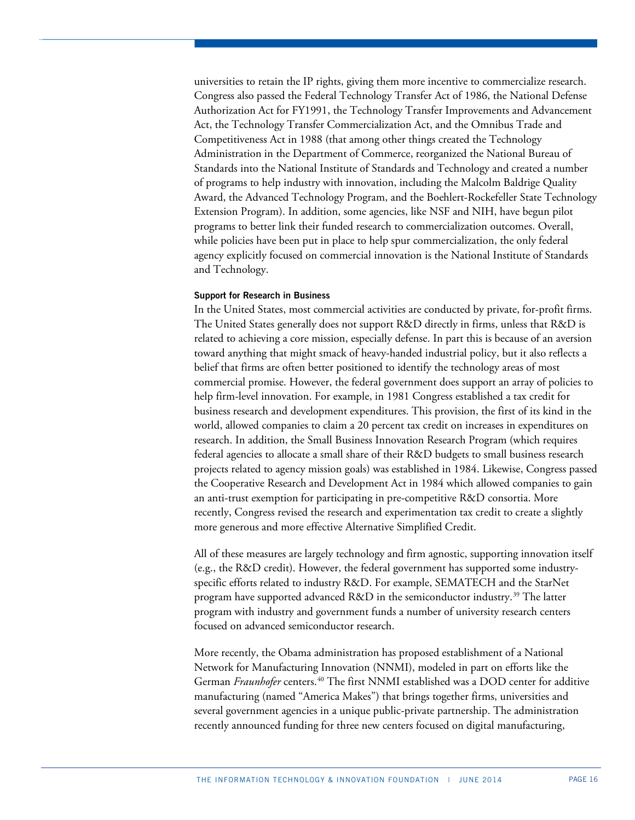universities to retain the IP rights, giving them more incentive to commercialize research. Congress also passed the Federal Technology Transfer Act of 1986, the [National Defense](http://itlaw.wikia.com/wiki/National_Defense_Authorization_Act_for_FY1991)  [Authorization Act for FY1991,](http://itlaw.wikia.com/wiki/National_Defense_Authorization_Act_for_FY1991) the [Technology Transfer Improvements and Advancement](http://itlaw.wikia.com/wiki/Technology_Transfer_Improvements_and_Advancement_Act)  [Act,](http://itlaw.wikia.com/wiki/Technology_Transfer_Improvements_and_Advancement_Act) the [Technology Transfer Commercialization Act,](http://itlaw.wikia.com/wiki/Technology_Transfer_Commercialization_Act) and the Omnibus Trade and Competitiveness Act in 1988 (that among other things created the Technology Administration in the Department of Commerce, reorganized the National Bureau of Standards into the National Institute of Standards and Technology and created a number of programs to help industry with innovation, including the Malcolm Baldrige Quality Award, the Advanced Technology Program, and the Boehlert-Rockefeller State Technology Extension Program). In addition, some agencies, like NSF and NIH, have begun pilot programs to better link their funded research to commercialization outcomes. Overall, while policies have been put in place to help spur commercialization, the only federal agency explicitly focused on commercial innovation is the National Institute of Standards and Technology.

#### **Support for Research in Business**

In the United States, most commercial activities are conducted by private, for-profit firms. The United States generally does not support R&D directly in firms, unless that R&D is related to achieving a core mission, especially defense. In part this is because of an aversion toward anything that might smack of heavy-handed industrial policy, but it also reflects a belief that firms are often better positioned to identify the technology areas of most commercial promise. However, the federal government does support an array of policies to help firm-level innovation. For example, in 1981 Congress established a tax credit for business research and development expenditures. This provision, the first of its kind in the world, allowed companies to claim a 20 percent tax credit on increases in expenditures on research. In addition, the Small Business Innovation Research Program (which requires federal agencies to allocate a small share of their R&D budgets to small business research projects related to agency mission goals) was established in 1984. Likewise, Congress passed the Cooperative Research and Development Act in 1984 which allowed companies to gain an anti-trust exemption for participating in pre-competitive R&D consortia. More recently, Congress revised the research and experimentation tax credit to create a slightly more generous and more effective Alternative Simplified Credit.

All of these measures are largely technology and firm agnostic, supporting innovation itself (e.g., the R&D credit). However, the federal government has supported some industryspecific efforts related to industry R&D. For example, SEMATECH and the StarNet program have supported advanced R&D in the semiconductor industry.<sup>[39](#page-26-32)</sup> The latter program with industry and government funds a number of university research centers focused on advanced semiconductor research.

More recently, the Obama administration has proposed establishment of a National Network for Manufacturing Innovation (NNMI), modeled in part on efforts like the German *Fraunhofer* centers.[40](#page-26-33) The first NNMI established was a DOD center for additive manufacturing (named "America Makes") that brings together firms, universities and several government agencies in a unique public-private partnership. The administration recently announced funding for three new centers focused on digital manufacturing,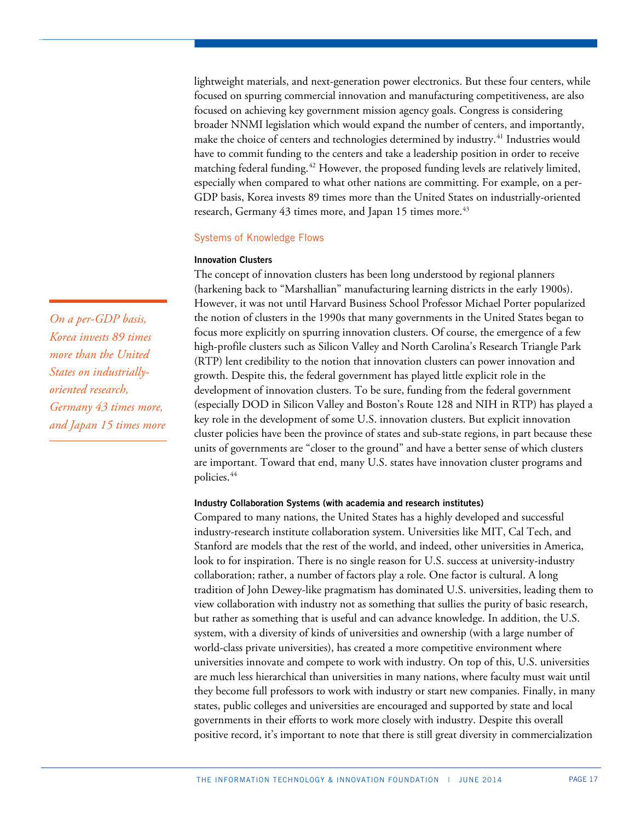lightweight materials, and next-generation power electronics. But these four centers, while focused on spurring commercial innovation and manufacturing competitiveness, are also focused on achieving key government mission agency goals. Congress is considering broader NNMI legislation which would expand the number of centers, and importantly, make the choice of centers and technologies determined by industry.<sup>[41](#page-26-34)</sup> Industries would have to commit funding to the centers and take a leadership position in order to receive matching federal funding.<sup>[42](#page-26-35)</sup> However, the proposed funding levels are relatively limited, especially when compared to what other nations are committing. For example, on a per-GDP basis, Korea invests 89 times more than the United States on industrially-oriented research, Germany [43](#page-26-36) times more, and Japan 15 times more.<sup>43</sup>

## Systems of Knowledge Flows

#### **Innovation Clusters**

The concept of innovation clusters has been long understood by regional planners (harkening back to "Marshallian" manufacturing learning districts in the early 1900s). However, it was not until Harvard Business School Professor Michael Porter popularized the notion of clusters in the 1990s that many governments in the United States began to focus more explicitly on spurring innovation clusters. Of course, the emergence of a few high-profile clusters such as Silicon Valley and North Carolina's Research Triangle Park (RTP) lent credibility to the notion that innovation clusters can power innovation and growth. Despite this, the federal government has played little explicit role in the development of innovation clusters. To be sure, funding from the federal government (especially DOD in Silicon Valley and Boston's Route 128 and NIH in RTP) has played a key role in the development of some U.S. innovation clusters. But explicit innovation cluster policies have been the province of states and sub-state regions, in part because these units of governments are "closer to the ground" and have a better sense of which clusters are important. Toward that end, many U.S. states have innovation cluster programs and policies.<sup>[44](#page-26-37)</sup>

# **Industry Collaboration Systems (with academia and research institutes)**

Compared to many nations, the United States has a highly developed and successful industry-research institute collaboration system. Universities like MIT, Cal Tech, and Stanford are models that the rest of the world, and indeed, other universities in America, look to for inspiration. There is no single reason for U.S. success at university-industry collaboration; rather, a number of factors play a role. One factor is cultural. A long tradition of John Dewey-like pragmatism has dominated U.S. universities, leading them to view collaboration with industry not as something that sullies the purity of basic research, but rather as something that is useful and can advance knowledge. In addition, the U.S. system, with a diversity of kinds of universities and ownership (with a large number of world-class private universities), has created a more competitive environment where universities innovate and compete to work with industry. On top of this, U.S. universities are much less hierarchical than universities in many nations, where faculty must wait until they become full professors to work with industry or start new companies. Finally, in many states, public colleges and universities are encouraged and supported by state and local governments in their efforts to work more closely with industry. Despite this overall positive record, it's important to note that there is still great diversity in commercialization

*On a per-GDP basis, Korea invests 89 times more than the United States on industriallyoriented research, Germany 43 times more, and Japan 15 times more*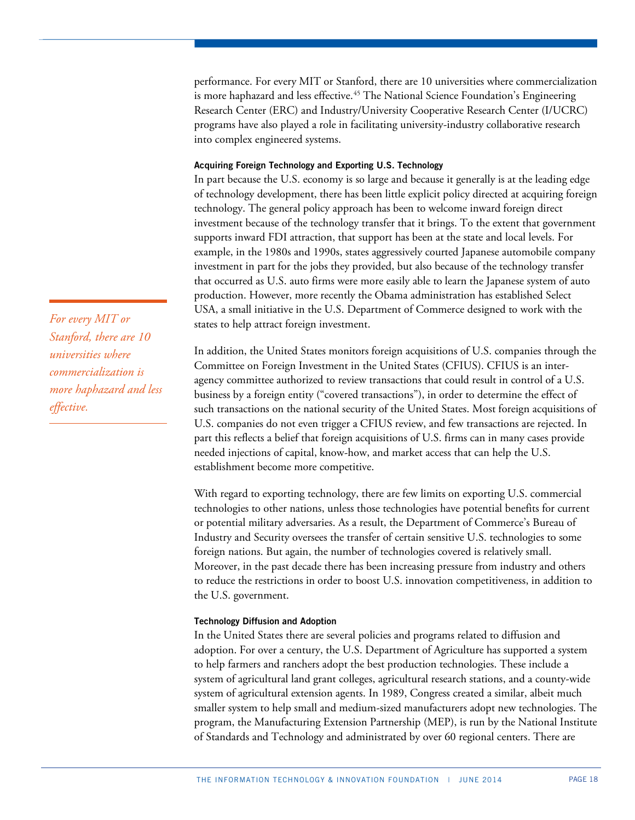performance. For every MIT or Stanford, there are 10 universities where commercialization is more haphazard and less effective.<sup>[45](#page-26-14)</sup> The National Science Foundation's Engineering Research Center (ERC) and Industry/University Cooperative Research Center (I/UCRC) programs have also played a role in facilitating university-industry collaborative research into complex engineered systems.

## **Acquiring Foreign Technology and Exporting U.S. Technology**

In part because the U.S. economy is so large and because it generally is at the leading edge of technology development, there has been little explicit policy directed at acquiring foreign technology. The general policy approach has been to welcome inward foreign direct investment because of the technology transfer that it brings. To the extent that government supports inward FDI attraction, that support has been at the state and local levels. For example, in the 1980s and 1990s, states aggressively courted Japanese automobile company investment in part for the jobs they provided, but also because of the technology transfer that occurred as U.S. auto firms were more easily able to learn the Japanese system of auto production. However, more recently the Obama administration has established Select USA, a small initiative in the U.S. Department of Commerce designed to work with the states to help attract foreign investment.

In addition, the United States monitors foreign acquisitions of U.S. companies through the Committee on Foreign Investment in the United States (CFIUS). CFIUS is an interagency committee authorized to review transactions that could result in control of a U.S. business by a foreign entity ("covered transactions"), in order to determine the effect of such transactions on the national security of the United States. Most foreign acquisitions of U.S. companies do not even trigger a CFIUS review, and few transactions are rejected. In part this reflects a belief that foreign acquisitions of U.S. firms can in many cases provide needed injections of capital, know-how, and market access that can help the U.S. establishment become more competitive.

With regard to exporting technology, there are few limits on exporting U.S. commercial technologies to other nations, unless those technologies have potential benefits for current or potential military adversaries. As a result, the Department of Commerce's Bureau of Industry and Security oversees the transfer of certain sensitive U.S. technologies to some foreign nations. But again, the number of technologies covered is relatively small. Moreover, in the past decade there has been increasing pressure from industry and others to reduce the restrictions in order to boost U.S. innovation competitiveness, in addition to the U.S. government.

# **Technology Diffusion and Adoption**

In the United States there are several policies and programs related to diffusion and adoption. For over a century, the U.S. Department of Agriculture has supported a system to help farmers and ranchers adopt the best production technologies. These include a system of agricultural land grant colleges, agricultural research stations, and a county-wide system of agricultural extension agents. In 1989, Congress created a similar, albeit much smaller system to help small and medium-sized manufacturers adopt new technologies. The program, the Manufacturing Extension Partnership (MEP), is run by the National Institute of Standards and Technology and administrated by over 60 regional centers. There are

*For every MIT or Stanford, there are 10 universities where commercialization is more haphazard and less effective.*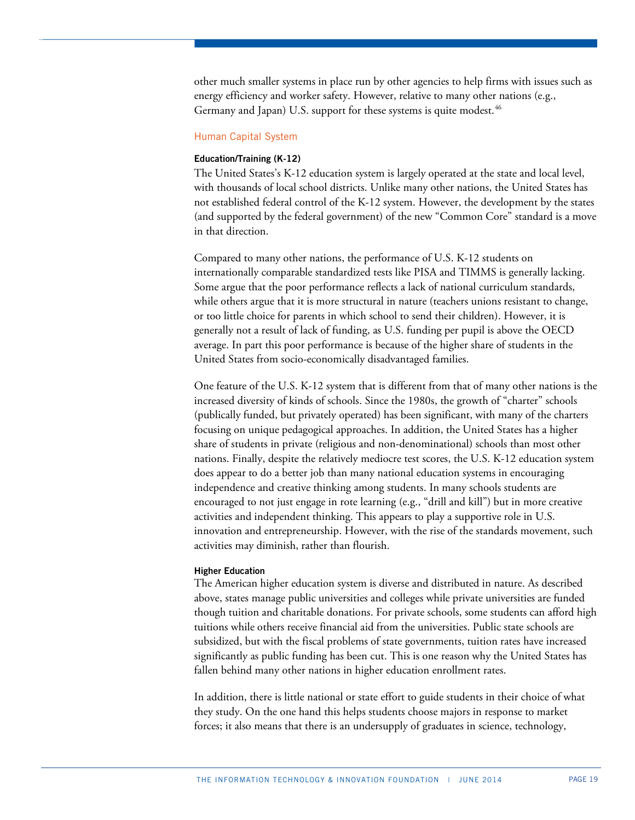other much smaller systems in place run by other agencies to help firms with issues such as energy efficiency and worker safety. However, relative to many other nations (e.g., Germany and Japan) U.S. support for these systems is quite modest.<sup>[46](#page-26-15)</sup>

#### Human Capital System

#### **Education/Training (K-12)**

The United States's K-12 education system is largely operated at the state and local level, with thousands of local school districts. Unlike many other nations, the United States has not established federal control of the K-12 system. However, the development by the states (and supported by the federal government) of the new "Common Core" standard is a move in that direction.

Compared to many other nations, the performance of U.S. K-12 students on internationally comparable standardized tests like PISA and TIMMS is generally lacking. Some argue that the poor performance reflects a lack of national curriculum standards, while others argue that it is more structural in nature (teachers unions resistant to change, or too little choice for parents in which school to send their children). However, it is generally not a result of lack of funding, as U.S. funding per pupil is above the OECD average. In part this poor performance is because of the higher share of students in the United States from socio-economically disadvantaged families.

One feature of the U.S. K-12 system that is different from that of many other nations is the increased diversity of kinds of schools. Since the 1980s, the growth of "charter" schools (publically funded, but privately operated) has been significant, with many of the charters focusing on unique pedagogical approaches. In addition, the United States has a higher share of students in private (religious and non-denominational) schools than most other nations. Finally, despite the relatively mediocre test scores, the U.S. K-12 education system does appear to do a better job than many national education systems in encouraging independence and creative thinking among students. In many schools students are encouraged to not just engage in rote learning (e.g., "drill and kill") but in more creative activities and independent thinking. This appears to play a supportive role in U.S. innovation and entrepreneurship. However, with the rise of the standards movement, such activities may diminish, rather than flourish.

#### **Higher Education**

The American higher education system is diverse and distributed in nature. As described above, states manage public universities and colleges while private universities are funded though tuition and charitable donations. For private schools, some students can afford high tuitions while others receive financial aid from the universities. Public state schools are subsidized, but with the fiscal problems of state governments, tuition rates have increased significantly as public funding has been cut. This is one reason why the United States has fallen behind many other nations in higher education enrollment rates.

In addition, there is little national or state effort to guide students in their choice of what they study. On the one hand this helps students choose majors in response to market forces; it also means that there is an undersupply of graduates in science, technology,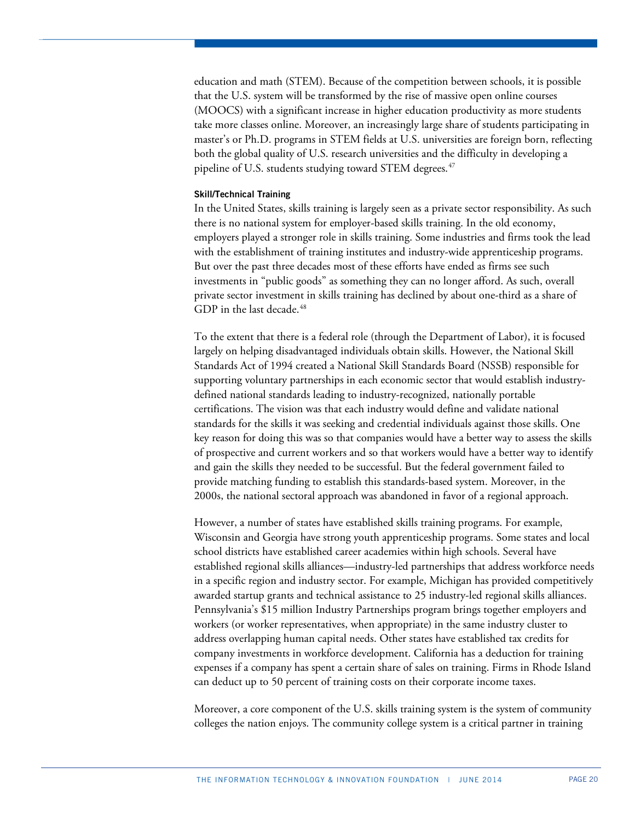education and math (STEM). Because of the competition between schools, it is possible that the U.S. system will be transformed by the rise of massive open online courses (MOOCS) with a significant increase in higher education productivity as more students take more classes online. Moreover, an increasingly large share of students participating in master's or Ph.D. programs in STEM fields at U.S. universities are foreign born, reflecting both the global quality of U.S. research universities and the difficulty in developing a pipeline of U.S. students studying toward STEM degrees. $47$ 

#### **Skill/Technical Training**

In the United States, skills training is largely seen as a private sector responsibility. As such there is no national system for employer-based skills training. In the old economy, employers played a stronger role in skills training. Some industries and firms took the lead with the establishment of training institutes and industry-wide apprenticeship programs. But over the past three decades most of these efforts have ended as firms see such investments in "public goods" as something they can no longer afford. As such, overall private sector investment in skills training has declined by about one-third as a share of GDP in the last decade.<sup>[48](#page-26-38)</sup>

To the extent that there is a federal role (through the Department of Labor), it is focused largely on helping disadvantaged individuals obtain skills. However, the National Skill Standards Act of 1994 created a National Skill Standards Board (NSSB) responsible for supporting voluntary partnerships in each economic sector that would establish industrydefined national standards leading to industry-recognized, nationally portable certifications. The vision was that each industry would define and validate national standards for the skills it was seeking and credential individuals against those skills. One key reason for doing this was so that companies would have a better way to assess the skills of prospective and current workers and so that workers would have a better way to identify and gain the skills they needed to be successful. But the federal government failed to provide matching funding to establish this standards-based system. Moreover, in the 2000s, the national sectoral approach was abandoned in favor of a regional approach.

However, a number of states have established skills training programs. For example, Wisconsin and Georgia have strong youth apprenticeship programs. Some states and local school districts have established career academies within high schools. Several have established regional skills alliances—industry-led partnerships that address workforce needs in a specific region and industry sector. For example, Michigan has provided competitively awarded startup grants and technical assistance to 25 industry-led regional skills alliances. Pennsylvania's \$15 million Industry Partnerships program brings together employers and workers (or worker representatives, when appropriate) in the same industry cluster to address overlapping human capital needs. Other states have established tax credits for company investments in workforce development. California has a deduction for training expenses if a company has spent a certain share of sales on training. Firms in Rhode Island can deduct up to 50 percent of training costs on their corporate income taxes.

Moreover, a core component of the U.S. skills training system is the system of community colleges the nation enjoys. The community college system is a critical partner in training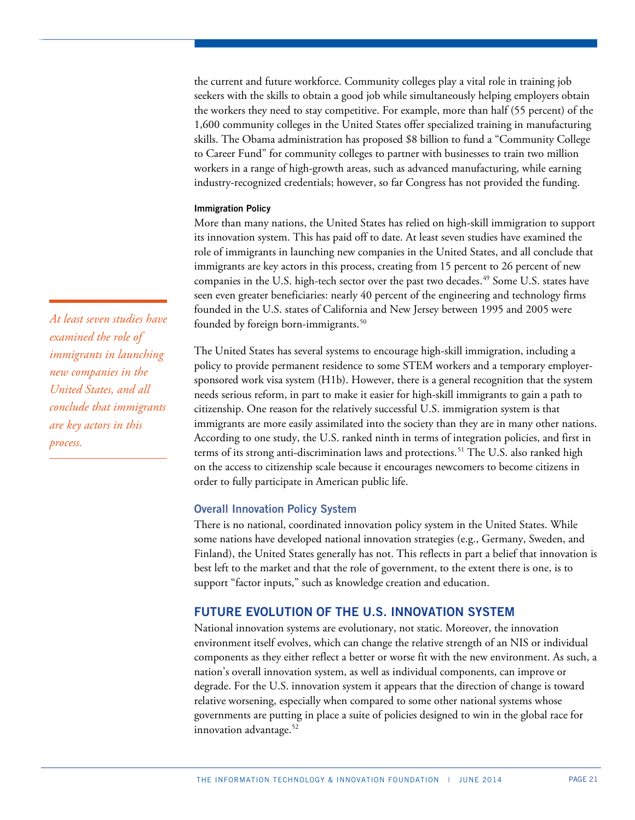the current and future workforce. Community colleges play a vital role in training job seekers with the skills to obtain a good job while simultaneously helping employers obtain the workers they need to stay competitive. For example, more than half (55 percent) of the 1,600 community colleges in the United States offer specialized training in manufacturing skills. The Obama administration has proposed \$8 billion to fund a "Community College to Career Fund" for community colleges to partner with businesses to train two million workers in a range of high-growth areas, such as advanced manufacturing, while earning industry-recognized credentials; however, so far Congress has not provided the funding.

#### **Immigration Policy**

More than many nations, the United States has relied on high-skill immigration to support its innovation system. This has paid off to date. At least seven studies have examined the role of immigrants in launching new companies in the United States, and all conclude that immigrants are key actors in this process, creating from 15 percent to 26 percent of new companies in the U.S. high-tech sector over the past two decades.<sup>[49](#page-26-19)</sup> Some U.S. states have seen even greater beneficiaries: nearly 40 percent of the engineering and technology firms founded in the U.S. states of California and New Jersey between 1995 and 2005 were founded by foreign born-immigrants.<sup>[50](#page-26-21)</sup>

The United States has several systems to encourage high-skill immigration, including a policy to provide permanent residence to some STEM workers and a temporary employersponsored work visa system (H1b). However, there is a general recognition that the system needs serious reform, in part to make it easier for high-skill immigrants to gain a path to citizenship. One reason for the relatively successful U.S. immigration system is that immigrants are more easily assimilated into the society than they are in many other nations. According to one study, the U.S. ranked ninth in terms of integration policies, and first in terms of its strong anti-discrimination laws and protections.<sup>[51](#page-26-39)</sup> The U.S. also ranked high on the access to citizenship scale because it encourages newcomers to become citizens in order to fully participate in American public life.

# **Overall Innovation Policy System**

There is no national, coordinated innovation policy system in the United States. While some nations have developed national innovation strategies (e.g., Germany, Sweden, and Finland), the United States generally has not. This reflects in part a belief that innovation is best left to the market and that the role of government, to the extent there is one, is to support "factor inputs," such as knowledge creation and education.

# **FUTURE EVOLUTION OF THE U.S. INNOVATION SYSTEM**

National innovation systems are evolutionary, not static. Moreover, the innovation environment itself evolves, which can change the relative strength of an NIS or individual components as they either reflect a better or worse fit with the new environment. As such, a nation's overall innovation system, as well as individual components, can improve or degrade. For the U.S. innovation system it appears that the direction of change is toward relative worsening, especially when compared to some other national systems whose governments are putting in place a suite of policies designed to win in the global race for innovation advantage.<sup>[52](#page-26-24)</sup>

*At least seven studies have examined the role of immigrants in launching new companies in the United States, and all conclude that immigrants are key actors in this process.*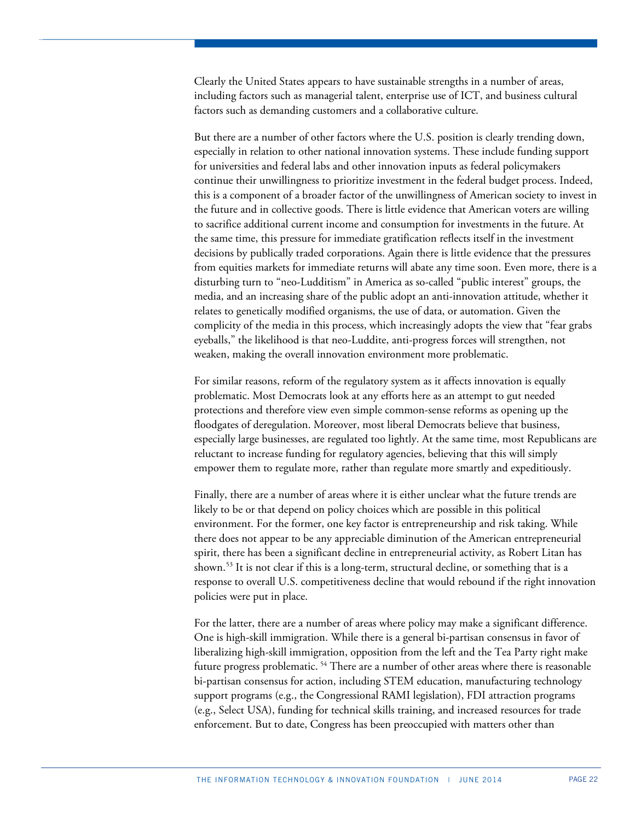Clearly the United States appears to have sustainable strengths in a number of areas, including factors such as managerial talent, enterprise use of ICT, and business cultural factors such as demanding customers and a collaborative culture.

But there are a number of other factors where the U.S. position is clearly trending down, especially in relation to other national innovation systems. These include funding support for universities and federal labs and other innovation inputs as federal policymakers continue their unwillingness to prioritize investment in the federal budget process. Indeed, this is a component of a broader factor of the unwillingness of American society to invest in the future and in collective goods. There is little evidence that American voters are willing to sacrifice additional current income and consumption for investments in the future. At the same time, this pressure for immediate gratification reflects itself in the investment decisions by publically traded corporations. Again there is little evidence that the pressures from equities markets for immediate returns will abate any time soon. Even more, there is a disturbing turn to "neo-Ludditism" in America as so-called "public interest" groups, the media, and an increasing share of the public adopt an anti-innovation attitude, whether it relates to genetically modified organisms, the use of data, or automation. Given the complicity of the media in this process, which increasingly adopts the view that "fear grabs eyeballs," the likelihood is that neo-Luddite, anti-progress forces will strengthen, not weaken, making the overall innovation environment more problematic.

For similar reasons, reform of the regulatory system as it affects innovation is equally problematic. Most Democrats look at any efforts here as an attempt to gut needed protections and therefore view even simple common-sense reforms as opening up the floodgates of deregulation. Moreover, most liberal Democrats believe that business, especially large businesses, are regulated too lightly. At the same time, most Republicans are reluctant to increase funding for regulatory agencies, believing that this will simply empower them to regulate more, rather than regulate more smartly and expeditiously.

Finally, there are a number of areas where it is either unclear what the future trends are likely to be or that depend on policy choices which are possible in this political environment. For the former, one key factor is entrepreneurship and risk taking. While there does not appear to be any appreciable diminution of the American entrepreneurial spirit, there has been a significant decline in entrepreneurial activity, as Robert Litan has shown.[53](#page-26-25) It is not clear if this is a long-term, structural decline, or something that is a response to overall U.S. competitiveness decline that would rebound if the right innovation policies were put in place.

For the latter, there are a number of areas where policy may make a significant difference. One is high-skill immigration. While there is a general bi-partisan consensus in favor of liberalizing high-skill immigration, opposition from the left and the Tea Party right make future progress problematic. [54](#page-26-40) There are a number of other areas where there is reasonable bi-partisan consensus for action, including STEM education, manufacturing technology support programs (e.g., the Congressional RAMI legislation), FDI attraction programs (e.g., Select USA), funding for technical skills training, and increased resources for trade enforcement. But to date, Congress has been preoccupied with matters other than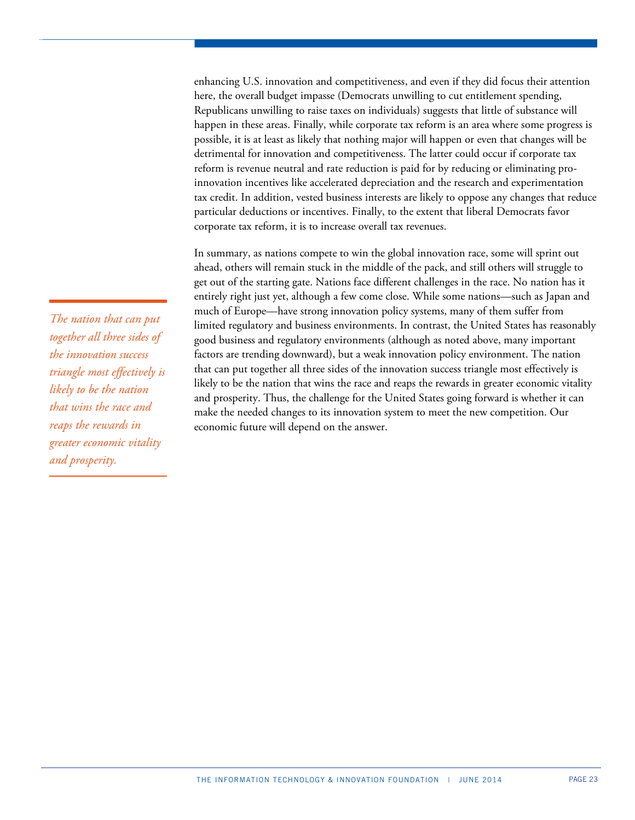enhancing U.S. innovation and competitiveness, and even if they did focus their attention here, the overall budget impasse (Democrats unwilling to cut entitlement spending, Republicans unwilling to raise taxes on individuals) suggests that little of substance will happen in these areas. Finally, while corporate tax reform is an area where some progress is possible, it is at least as likely that nothing major will happen or even that changes will be detrimental for innovation and competitiveness. The latter could occur if corporate tax reform is revenue neutral and rate reduction is paid for by reducing or eliminating proinnovation incentives like accelerated depreciation and the research and experimentation tax credit. In addition, vested business interests are likely to oppose any changes that reduce particular deductions or incentives. Finally, to the extent that liberal Democrats favor corporate tax reform, it is to increase overall tax revenues.

In summary, as nations compete to win the global innovation race, some will sprint out ahead, others will remain stuck in the middle of the pack, and still others will struggle to get out of the starting gate. Nations face different challenges in the race. No nation has it entirely right just yet, although a few come close. While some nations—such as Japan and much of Europe—have strong innovation policy systems, many of them suffer from limited regulatory and business environments. In contrast, the United States has reasonably good business and regulatory environments (although as noted above, many important factors are trending downward), but a weak innovation policy environment. The nation that can put together all three sides of the innovation success triangle most effectively is likely to be the nation that wins the race and reaps the rewards in greater economic vitality and prosperity. Thus, the challenge for the United States going forward is whether it can make the needed changes to its innovation system to meet the new competition. Our economic future will depend on the answer.

*The nation that can put together all three sides of the innovation success triangle most effectively is likely to be the nation that wins the race and reaps the rewards in greater economic vitality and prosperity.*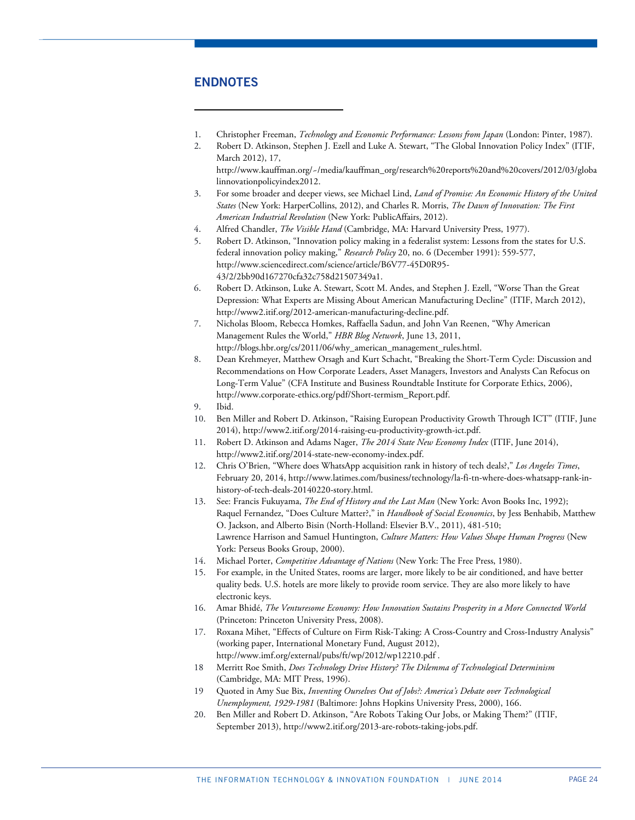# **ENDNOTES**

1

- <span id="page-23-0"></span>1. Christopher Freeman, *Technology and Economic Performance: Lessons from Japan* (London: Pinter, 1987).
- <span id="page-23-1"></span>2. Robert D. Atkinson, Stephen J. Ezell and Luke A. Stewart, "The Global Innovation Policy Index" (ITIF, March 2012), 17,

http://www.kauffman.org/~/media/kauffman\_org/research%20reports%20and%20covers/2012/03/globa linnovationpolicyindex2012.

- 3. For some broader and deeper views, see Michael Lind, *Land of Promise: An Economic History of the United States* (New York: HarperCollins, 2012), and Charles R. Morris, *The Dawn of Innovation: The First American Industrial Revolution* (New York: PublicAffairs, 2012).
- 4. Alfred Chandler, *The Visible Hand* (Cambridge, MA: Harvard University Press, 1977).
- 5. Robert D. Atkinson, "Innovation policy making in a federalist system: Lessons from the states for U.S. federal innovation policy making," *Research Policy* 20, no. 6 (December 1991): 559-577, http://www.sciencedirect.com/science/article/B6V77-45D0R95- 43/2/2bb90d167270cfa32c758d21507349a1.
- 6. Robert D. Atkinson, Luke A. Stewart, Scott M. Andes, and Stephen J. Ezell, "Worse Than the Great Depression: What Experts are Missing About American Manufacturing Decline" (ITIF, March 2012), http://www2.itif.org/2012-american-manufacturing-decline.pdf.
- 7. Nicholas Bloom, Rebecca Homkes, Raffaella Sadun, and John Van Reenen, "Why American Management Rules the World," *HBR Blog Network*, June 13, 2011, http://blogs.hbr.org/cs/2011/06/why\_american\_management\_rules.html.
- 8. Dean Krehmeyer, Matthew Orsagh and Kurt Schacht, "Breaking the Short-Term Cycle: Discussion and Recommendations on How Corporate Leaders, Asset Managers, Investors and Analysts Can Refocus on Long-Term Value" (CFA Institute and Business Roundtable Institute for Corporate Ethics, 2006), http://www.corporate-ethics.org/pdf/Short-termism\_Report.pdf.
- 9. Ibid.
- 10. Ben Miller and Robert D. Atkinson, "Raising European Productivity Growth Through ICT" (ITIF, June 2014), http://www2.itif.org/2014-raising-eu-productivity-growth-ict.pdf.
- 11. Robert D. Atkinson and Adams Nager, *The 2014 State New Economy Index* (ITIF, June 2014), http://www2.itif.org/2014-state-new-economy-index.pdf.
- 12. Chris O'Brien, "Where does WhatsApp acquisition rank in history of tech deals?," *Los Angeles Times*, February 20, 2014, http://www.latimes.com/business/technology/la-fi-tn-where-does-whatsapp-rank-inhistory-of-tech-deals-20140220-story.html.
- 13. See: Francis Fukuyama, *The End of History and the Last Man* (New York: Avon Books Inc, 1992); Raquel Fernandez, "Does Culture Matter?," in *Handbook of Social Economics*, by Jess Benhabib, Matthew O. Jackson, and Alberto Bisin (North-Holland: Elsevier B.V., 2011), 481-510; Lawrence Harrison and Samuel Huntington, *Culture Matters: How Values Shape Human Progress* (New York: Perseus Books Group, 2000).
- 14. Michael Porter, *Competitive Advantage of Nations* (New York: The Free Press, 1980).
- 15. For example, in the United States, rooms are larger, more likely to be air conditioned, and have better quality beds. U.S. hotels are more likely to provide room service. They are also more likely to have electronic keys.
- 16. Amar Bhidé, *The Venturesome Economy: How Innovation Sustains Prosperity in a More Connected World* (Princeton: Princeton University Press, 2008).
- 17. Roxana Mihet, "Effects of Culture on Firm Risk-Taking: A Cross-Country and Cross-Industry Analysis" (working paper, International Monetary Fund, August 2012), http://www.imf.org/external/pubs/ft/wp/2012/wp12210.pdf .
- 18 Merritt Roe Smith, *Does Technology Drive History? The Dilemma of Technological Determinism* (Cambridge, MA: MIT Press, 1996).
- 19 Quoted in Amy Sue Bix, *Inventing Ourselves Out of Jobs?: America's Debate over Technological Unemployment, 1929-1981* (Baltimore: Johns Hopkins University Press, 2000), 166.
- 20. Ben Miller and Robert D. Atkinson, "Are Robots Taking Our Jobs, or Making Them?" (ITIF, September 2013), http://www2.itif.org/2013-are-robots-taking-jobs.pdf.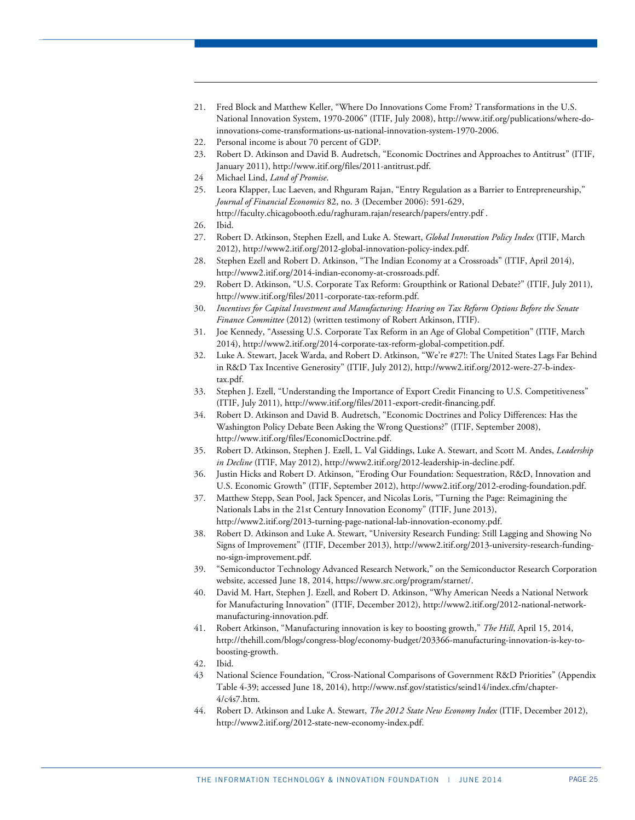- 21. Fred Block and Matthew Keller, "Where Do Innovations Come From? Transformations in the U.S. National Innovation System, 1970-2006" (ITIF, July 2008), http://www.itif.org/publications/where-doinnovations-come-transformations-us-national-innovation-system-1970-2006.
- 22. Personal income is about 70 percent of GDP.
- 23. Robert D. Atkinson and David B. Audretsch, "Economic Doctrines and Approaches to Antitrust" (ITIF, January 2011), http://www.itif.org/files/2011-antitrust.pdf.
- <span id="page-24-0"></span>24 Michael Lind, *Land of Promise*.
- 25. Leora Klapper, Luc Laeven, and Rhguram Rajan, "Entry Regulation as a Barrier to Entrepreneurship," *Journal of Financial Economics* 82, no. 3 (December 2006): 591-629,

http://faculty.chicagobooth.edu/raghuram.rajan/research/papers/entry.pdf .

<span id="page-24-2"></span><span id="page-24-1"></span>26. Ibid.

1

- 27. Robert D. Atkinson, Stephen Ezell, and Luke A. Stewart, *Global Innovation Policy Index* (ITIF, March 2012), http://www2.itif.org/2012-global-innovation-policy-index.pdf.
- 28. Stephen Ezell and Robert D. Atkinson, "The Indian Economy at a Crossroads" (ITIF, April 2014), http://www2.itif.org/2014-indian-economy-at-crossroads.pdf.
- 29. Robert D. Atkinson, "U.S. Corporate Tax Reform: Groupthink or Rational Debate?" (ITIF, July 2011), http://www.itif.org/files/2011-corporate-tax-reform.pdf.
- 30. *Incentives for Capital Investment and Manufacturing: Hearing on Tax Reform Options Before the Senate Finance Committee* (2012) (written testimony of Robert Atkinson, ITIF).
- 31. Joe Kennedy, "Assessing U.S. Corporate Tax Reform in an Age of Global Competition" (ITIF, March 2014), http://www2.itif.org/2014-corporate-tax-reform-global-competition.pdf.
- 32. Luke A. Stewart, Jacek Warda, and Robert D. Atkinson, "We're #27!: The United States Lags Far Behind in R&D Tax Incentive Generosity" (ITIF, July 2012), http://www2.itif.org/2012-were-27-b-indextax.pdf.
- 33. Stephen J. Ezell, "Understanding the Importance of Export Credit Financing to U.S. Competitiveness" (ITIF, July 2011), http://www.itif.org/files/2011-export-credit-financing.pdf.
- 34. Robert D. Atkinson and David B. Audretsch, "Economic Doctrines and Policy Differences: Has the Washington Policy Debate Been Asking the Wrong Questions?" (ITIF, September 2008), http://www.itif.org/files/EconomicDoctrine.pdf.
- 35. Robert D. Atkinson, Stephen J. Ezell, L. Val Giddings, Luke A. Stewart, and Scott M. Andes, *Leadership in Decline* (ITIF, May 2012), http://www2.itif.org/2012-leadership-in-decline.pdf.
- 36. Justin Hicks and Robert D. Atkinson, "Eroding Our Foundation: Sequestration, R&D, Innovation and U.S. Economic Growth" (ITIF, September 2012), http://www2.itif.org/2012-eroding-foundation.pdf.
- 37. Matthew Stepp, Sean Pool, Jack Spencer, and Nicolas Loris, "Turning the Page: Reimagining the Nationals Labs in the 21st Century Innovation Economy" (ITIF, June 2013), http://www2.itif.org/2013-turning-page-national-lab-innovation-economy.pdf.
- 38. Robert D. Atkinson and Luke A. Stewart, "University Research Funding: Still Lagging and Showing No Signs of Improvement" (ITIF, December 2013), http://www2.itif.org/2013-university-research-fundingno-sign-improvement.pdf.
- 39. "Semiconductor Technology Advanced Research Network," on the Semiconductor Research Corporation website, accessed June 18, 2014, https://www.src.org/program/starnet/.
- 40. David M. Hart, Stephen J. Ezell, and Robert D. Atkinson, "Why American Needs a National Network for Manufacturing Innovation" (ITIF, December 2012), http://www2.itif.org/2012-national-networkmanufacturing-innovation.pdf.
- 41. Robert Atkinson, "Manufacturing innovation is key to boosting growth," *The Hill*, April 15, 2014, http://thehill.com/blogs/congress-blog/economy-budget/203366-manufacturing-innovation-is-key-toboosting-growth.
- 42. Ibid.
- 43 National Science Foundation, "Cross-National Comparisons of Government R&D Priorities" (Appendix Table 4-39; accessed June 18, 2014), http://www.nsf.gov/statistics/seind14/index.cfm/chapter-4/c4s7.htm.
- 44. Robert D. Atkinson and Luke A. Stewart, *The 2012 State New Economy Index* (ITIF, December 2012), http://www2.itif.org/2012-state-new-economy-index.pdf.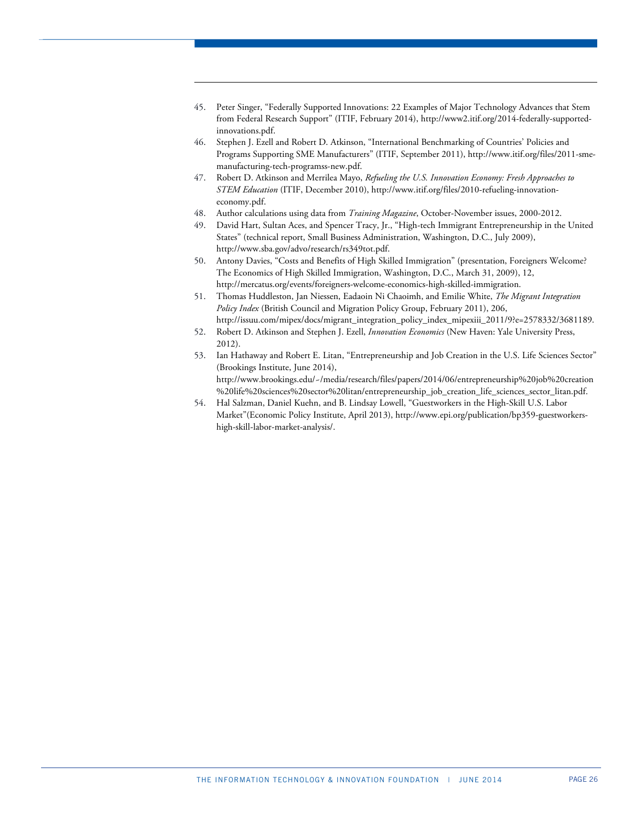45. Peter Singer, "Federally Supported Innovations: 22 Examples of Major Technology Advances that Stem from Federal Research Support" (ITIF, February 2014), http://www2.itif.org/2014-federally-supportedinnovations.pdf.

1

- 46. Stephen J. Ezell and Robert D. Atkinson, "International Benchmarking of Countries' Policies and Programs Supporting SME Manufacturers" (ITIF, September 2011), http://www.itif.org/files/2011-smemanufacturing-tech-programss-new.pdf.
- 47. Robert D. Atkinson and Merrilea Mayo, *Refueling the U.S. Innovation Economy: Fresh Approaches to STEM Education* (ITIF, December 2010), http://www.itif.org/files/2010-refueling-innovationeconomy.pdf.
- 48. Author calculations using data from *Training Magazine*, October-November issues, 2000-2012.
- 49. David Hart, Sultan Aces, and Spencer Tracy, Jr., "High-tech Immigrant Entrepreneurship in the United States" (technical report, Small Business Administration, Washington, D.C., July 2009), http://www.sba.gov/advo/research/rs349tot.pdf.
- 50. Antony Davies, "Costs and Benefits of High Skilled Immigration" (presentation, Foreigners Welcome? The Economics of High Skilled Immigration, Washington, D.C., March 31, 2009), 12, http://mercatus.org/events/foreigners-welcome-economics-high-skilled-immigration.
- <span id="page-25-0"></span>51. Thomas Huddleston, Jan Niessen, Eadaoin Ni Chaoimh, and Emilie White, *The Migrant Integration Policy Index* (British Council and Migration Policy Group, February 2011), 206, http://issuu.com/mipex/docs/migrant\_integration\_policy\_index\_mipexiii\_2011/9?e=2578332/3681189.
- 52. Robert D. Atkinson and Stephen J. Ezell, *Innovation Economics* (New Haven: Yale University Press, 2012).
- 53. Ian Hathaway and Robert E. Litan, "Entrepreneurship and Job Creation in the U.S. Life Sciences Sector" (Brookings Institute, June 2014), http://www.brookings.edu/~/media/research/files/papers/2014/06/entrepreneurship%20job%20creation %20life%20sciences%20sector%20litan/entrepreneurship\_job\_creation\_life\_sciences\_sector\_litan.pdf.
- 54. Hal Salzman, Daniel Kuehn, and B. Lindsay Lowell, "Guestworkers in the High-Skill U.S. Labor Market"(Economic Policy Institute, April 2013), http://www.epi.org/publication/bp359-guestworkershigh-skill-labor-market-analysis/.